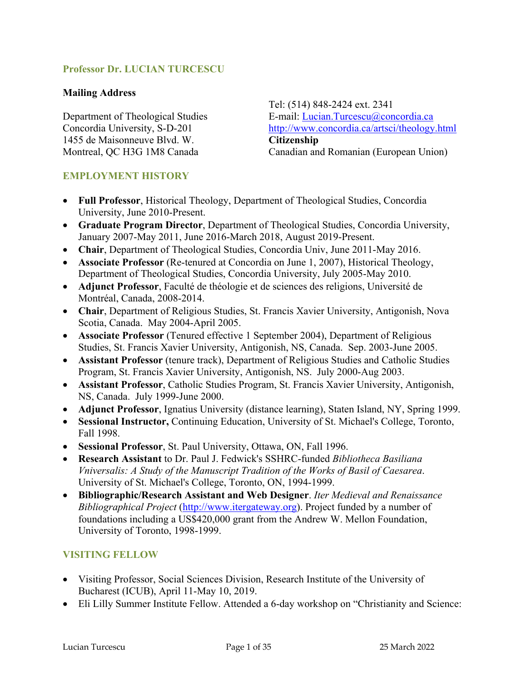### **Professor Dr. LUCIAN TURCESCU**

#### **Mailing Address**

Department of Theological Studies Concordia University, S-D-201 1455 de Maisonneuve Blvd. W. Montreal, QC H3G 1M8 Canada

Tel: (514) 848-2424 ext. 2341 E-mail: Lucian.Turcescu@concordia.ca http://www.concordia.ca/artsci/theology.html **Citizenship** Canadian and Romanian (European Union)

#### **EMPLOYMENT HISTORY**

- **Full Professor**, Historical Theology, Department of Theological Studies, Concordia University, June 2010-Present.
- **Graduate Program Director**, Department of Theological Studies, Concordia University, January 2007-May 2011, June 2016-March 2018, August 2019-Present.
- **Chair**, Department of Theological Studies, Concordia Univ, June 2011-May 2016.
- **Associate Professor** (Re-tenured at Concordia on June 1, 2007), Historical Theology, Department of Theological Studies, Concordia University, July 2005-May 2010.
- **Adjunct Professor**, Faculté de théologie et de sciences des religions, Université de Montréal, Canada, 2008-2014.
- **Chair**, Department of Religious Studies, St. Francis Xavier University, Antigonish, Nova Scotia, Canada. May 2004-April 2005.
- **Associate Professor** (Tenured effective 1 September 2004), Department of Religious Studies, St. Francis Xavier University, Antigonish, NS, Canada. Sep. 2003-June 2005.
- **Assistant Professor** (tenure track), Department of Religious Studies and Catholic Studies Program, St. Francis Xavier University, Antigonish, NS. July 2000-Aug 2003.
- **Assistant Professor**, Catholic Studies Program, St. Francis Xavier University, Antigonish, NS, Canada. July 1999-June 2000.
- **Adjunct Professor**, Ignatius University (distance learning), Staten Island, NY, Spring 1999.
- **Sessional Instructor,** Continuing Education, University of St. Michael's College, Toronto, Fall 1998.
- **Sessional Professor**, St. Paul University, Ottawa, ON, Fall 1996.
- **Research Assistant** to Dr. Paul J. Fedwick's SSHRC-funded *Bibliotheca Basiliana Vniversalis: A Study of the Manuscript Tradition of the Works of Basil of Caesarea*. University of St. Michael's College, Toronto, ON, 1994-1999.
- **Bibliographic/Research Assistant and Web Designer**. *Iter Medieval and Renaissance Bibliographical Project* (http://www.itergateway.org). Project funded by a number of foundations including a US\$420,000 grant from the Andrew W. Mellon Foundation, University of Toronto, 1998-1999.

#### **VISITING FELLOW**

- Visiting Professor, Social Sciences Division, Research Institute of the University of Bucharest (ICUB), April 11-May 10, 2019.
- Eli Lilly Summer Institute Fellow. Attended a 6-day workshop on "Christianity and Science: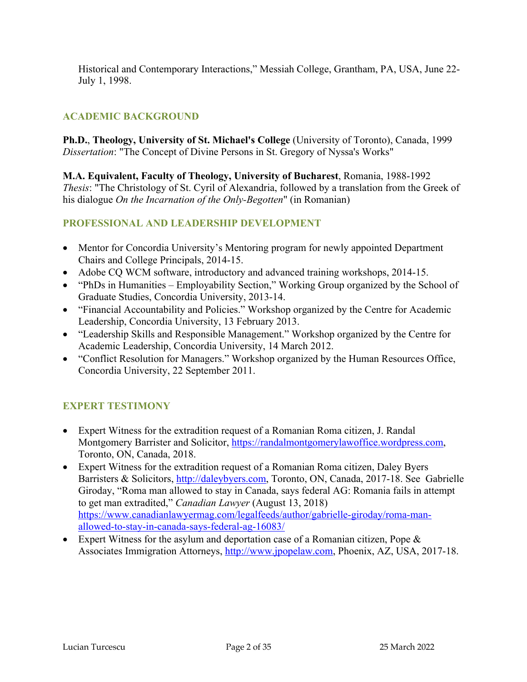Historical and Contemporary Interactions," Messiah College, Grantham, PA, USA, June 22- July 1, 1998.

# **ACADEMIC BACKGROUND**

**Ph.D.**, **Theology, University of St. Michael's College** (University of Toronto), Canada, 1999 *Dissertation*: "The Concept of Divine Persons in St. Gregory of Nyssa's Works"

**M.A. Equivalent, Faculty of Theology, University of Bucharest**, Romania, 1988-1992 *Thesis*: "The Christology of St. Cyril of Alexandria, followed by a translation from the Greek of his dialogue *On the Incarnation of the Only-Begotten*" (in Romanian)

# **PROFESSIONAL AND LEADERSHIP DEVELOPMENT**

- Mentor for Concordia University's Mentoring program for newly appointed Department Chairs and College Principals, 2014-15.
- Adobe CQ WCM software, introductory and advanced training workshops, 2014-15.
- "PhDs in Humanities Employability Section," Working Group organized by the School of Graduate Studies, Concordia University, 2013-14.
- "Financial Accountability and Policies." Workshop organized by the Centre for Academic Leadership, Concordia University, 13 February 2013.
- "Leadership Skills and Responsible Management." Workshop organized by the Centre for Academic Leadership, Concordia University, 14 March 2012.
- "Conflict Resolution for Managers." Workshop organized by the Human Resources Office, Concordia University, 22 September 2011.

# **EXPERT TESTIMONY**

- Expert Witness for the extradition request of a Romanian Roma citizen, J. Randal Montgomery Barrister and Solicitor, https://randalmontgomerylawoffice.wordpress.com, Toronto, ON, Canada, 2018.
- Expert Witness for the extradition request of a Romanian Roma citizen, Daley Byers Barristers & Solicitors, http://daleybyers.com, Toronto, ON, Canada, 2017-18. See Gabrielle Giroday, "Roma man allowed to stay in Canada, says federal AG: Romania fails in attempt to get man extradited," *Canadian Lawyer* (August 13, 2018) https://www.canadianlawyermag.com/legalfeeds/author/gabrielle-giroday/roma-manallowed-to-stay-in-canada-says-federal-ag-16083/
- Expert Witness for the asylum and deportation case of a Romanian citizen, Pope & Associates Immigration Attorneys, http://www.jpopelaw.com, Phoenix, AZ, USA, 2017-18.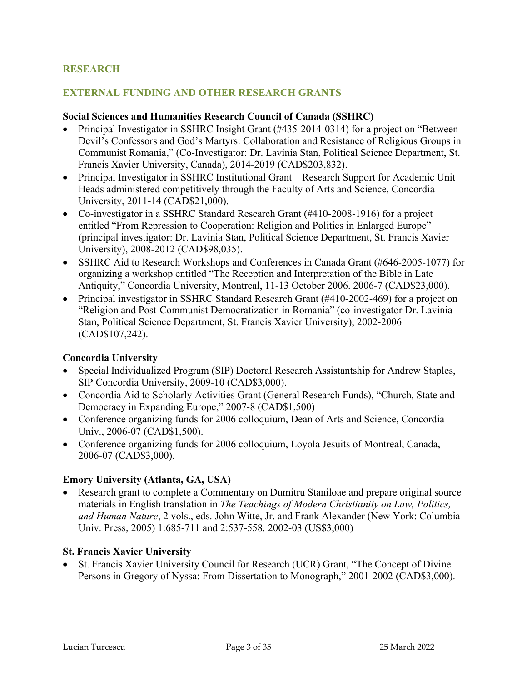### **RESEARCH**

#### **EXTERNAL FUNDING AND OTHER RESEARCH GRANTS**

#### **Social Sciences and Humanities Research Council of Canada (SSHRC)**

- Principal Investigator in SSHRC Insight Grant (#435-2014-0314) for a project on "Between" Devil's Confessors and God's Martyrs: Collaboration and Resistance of Religious Groups in Communist Romania," (Co-Investigator: Dr. Lavinia Stan, Political Science Department, St. Francis Xavier University, Canada), 2014-2019 (CAD\$203,832).
- Principal Investigator in SSHRC Institutional Grant Research Support for Academic Unit Heads administered competitively through the Faculty of Arts and Science, Concordia University, 2011-14 (CAD\$21,000).
- Co-investigator in a SSHRC Standard Research Grant (#410-2008-1916) for a project entitled "From Repression to Cooperation: Religion and Politics in Enlarged Europe" (principal investigator: Dr. Lavinia Stan, Political Science Department, St. Francis Xavier University), 2008-2012 (CAD\$98,035).
- SSHRC Aid to Research Workshops and Conferences in Canada Grant (#646-2005-1077) for organizing a workshop entitled "The Reception and Interpretation of the Bible in Late Antiquity," Concordia University, Montreal, 11-13 October 2006. 2006-7 (CAD\$23,000).
- Principal investigator in SSHRC Standard Research Grant (#410-2002-469) for a project on "Religion and Post-Communist Democratization in Romania" (co-investigator Dr. Lavinia Stan, Political Science Department, St. Francis Xavier University), 2002-2006 (CAD\$107,242).

#### **Concordia University**

- Special Individualized Program (SIP) Doctoral Research Assistantship for Andrew Staples, SIP Concordia University, 2009-10 (CAD\$3,000).
- Concordia Aid to Scholarly Activities Grant (General Research Funds), "Church, State and Democracy in Expanding Europe," 2007-8 (CAD\$1,500)
- Conference organizing funds for 2006 colloquium, Dean of Arts and Science, Concordia Univ., 2006-07 (CAD\$1,500).
- Conference organizing funds for 2006 colloquium, Loyola Jesuits of Montreal, Canada, 2006-07 (CAD\$3,000).

#### **Emory University (Atlanta, GA, USA)**

• Research grant to complete a Commentary on Dumitru Staniloae and prepare original source materials in English translation in *The Teachings of Modern Christianity on Law, Politics, and Human Nature*, 2 vols., eds. John Witte, Jr. and Frank Alexander (New York: Columbia Univ. Press, 2005) 1:685-711 and 2:537-558. 2002-03 (US\$3,000)

#### **St. Francis Xavier University**

• St. Francis Xavier University Council for Research (UCR) Grant, "The Concept of Divine Persons in Gregory of Nyssa: From Dissertation to Monograph," 2001-2002 (CAD\$3,000).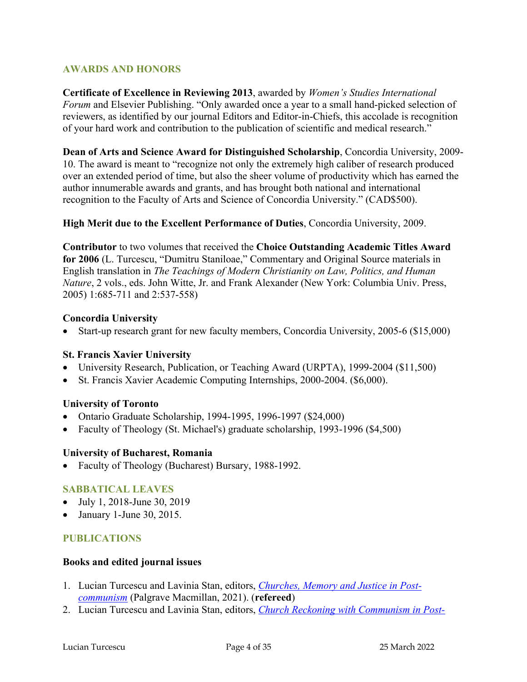### **AWARDS AND HONORS**

**Certificate of Excellence in Reviewing 2013**, awarded by *Women's Studies International Forum* and Elsevier Publishing. "Only awarded once a year to a small hand-picked selection of reviewers, as identified by our journal Editors and Editor-in-Chiefs, this accolade is recognition of your hard work and contribution to the publication of scientific and medical research."

**Dean of Arts and Science Award for Distinguished Scholarship**, Concordia University, 2009- 10. The award is meant to "recognize not only the extremely high caliber of research produced over an extended period of time, but also the sheer volume of productivity which has earned the author innumerable awards and grants, and has brought both national and international recognition to the Faculty of Arts and Science of Concordia University." (CAD\$500).

#### **High Merit due to the Excellent Performance of Duties**, Concordia University, 2009.

**Contributor** to two volumes that received the **Choice Outstanding Academic Titles Award for 2006** (L. Turcescu, "Dumitru Staniloae," Commentary and Original Source materials in English translation in *The Teachings of Modern Christianity on Law, Politics, and Human Nature*, 2 vols., eds. John Witte, Jr. and Frank Alexander (New York: Columbia Univ. Press, 2005) 1:685-711 and 2:537-558)

#### **Concordia University**

• Start-up research grant for new faculty members, Concordia University, 2005-6 (\$15,000)

#### **St. Francis Xavier University**

- University Research, Publication, or Teaching Award (URPTA), 1999-2004 (\$11,500)
- St. Francis Xavier Academic Computing Internships, 2000-2004. (\$6,000).

#### **University of Toronto**

- Ontario Graduate Scholarship, 1994-1995, 1996-1997 (\$24,000)
- Faculty of Theology (St. Michael's) graduate scholarship, 1993-1996 (\$4,500)

#### **University of Bucharest, Romania**

• Faculty of Theology (Bucharest) Bursary, 1988-1992.

#### **SABBATICAL LEAVES**

- July 1, 2018-June 30, 2019
- January 1-June 30, 2015.

#### **PUBLICATIONS**

#### **Books and edited journal issues**

- 1. Lucian Turcescu and Lavinia Stan, editors, *Churches, Memory and Justice in Postcommunism* (Palgrave Macmillan, 2021). (**refereed**)
- 2. Lucian Turcescu and Lavinia Stan, editors, *Church Reckoning with Communism in Post-*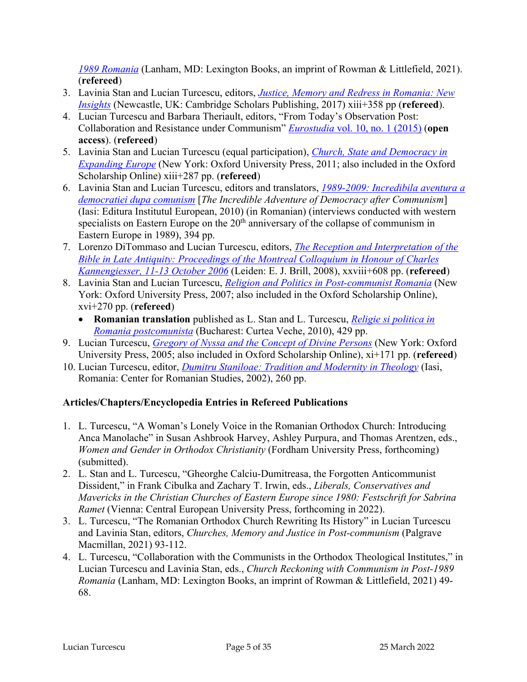*1989 Romania* (Lanham, MD: Lexington Books, an imprint of Rowman & Littlefield, 2021). (**refereed**)

- 3. Lavinia Stan and Lucian Turcescu, editors, *Justice, Memory and Redress in Romania: New Insights* (Newcastle, UK: Cambridge Scholars Publishing, 2017) xiii+358 pp (**refereed**).
- 4. Lucian Turcescu and Barbara Theriault, editors, "From Today's Observation Post: Collaboration and Resistance under Communism" *Eurostudia* vol. 10, no. 1 (2015) (**open access**). (**refereed**)
- 5. Lavinia Stan and Lucian Turcescu (equal participation), *Church, State and Democracy in Expanding Europe* (New York: Oxford University Press, 2011; also included in the Oxford Scholarship Online) xiii+287 pp. (**refereed**)
- 6. Lavinia Stan and Lucian Turcescu, editors and translators, *1989-2009: Incredibila aventura a democratiei dupa comunism* [*The Incredible Adventure of Democracy after Communism*] (Iasi: Editura Institutul European, 2010) (in Romanian) (interviews conducted with western specialists on Eastern Europe on the  $20<sup>th</sup>$  anniversary of the collapse of communism in Eastern Europe in 1989), 394 pp.
- 7. Lorenzo DiTommaso and Lucian Turcescu, editors, *The Reception and Interpretation of the Bible in Late Antiquity: Proceedings of the Montreal Colloquium in Honour of Charles Kannengiesser, 11-13 October 2006* (Leiden: E. J. Brill, 2008), xxviii+608 pp. (**refereed**)
- 8. Lavinia Stan and Lucian Turcescu, *Religion and Politics in Post-communist Romania* (New York: Oxford University Press, 2007; also included in the Oxford Scholarship Online), xvi+270 pp. (**refereed**)
	- **Romanian translation** published as L. Stan and L. Turcescu, *Religie si politica in Romania postcomunista* (Bucharest: Curtea Veche, 2010), 429 pp.
- 9. Lucian Turcescu, *Gregory of Nyssa and the Concept of Divine Persons* (New York: Oxford University Press, 2005; also included in Oxford Scholarship Online), xi+171 pp. (**refereed**)
- 10. Lucian Turcescu, editor, *Dumitru Staniloae: Tradition and Modernity in Theology* (Iasi, Romania: Center for Romanian Studies, 2002), 260 pp.

# **Articles/Chapters/Encyclopedia Entries in Refereed Publications**

- 1. L. Turcescu, "A Woman's Lonely Voice in the Romanian Orthodox Church: Introducing Anca Manolache" in Susan Ashbrook Harvey, Ashley Purpura, and Thomas Arentzen, eds., *Women and Gender in Orthodox Christianity* (Fordham University Press, forthcoming) (submitted).
- 2. L. Stan and L. Turcescu, "Gheorghe Calciu-Dumitreasa, the Forgotten Anticommunist Dissident," in Frank Cibulka and Zachary T. Irwin, eds., *Liberals, Conservatives and Mavericks in the Christian Churches of Eastern Europe since 1980: Festschrift for Sabrina Ramet* (Vienna: Central European University Press, forthcoming in 2022).
- 3. L. Turcescu, "The Romanian Orthodox Church Rewriting Its History" in Lucian Turcescu and Lavinia Stan, editors, *Churches, Memory and Justice in Post-communism* (Palgrave Macmillan, 2021) 93-112.
- 4. L. Turcescu, "Collaboration with the Communists in the Orthodox Theological Institutes," in Lucian Turcescu and Lavinia Stan, eds., *Church Reckoning with Communism in Post-1989 Romania* (Lanham, MD: Lexington Books, an imprint of Rowman & Littlefield, 2021) 49- 68.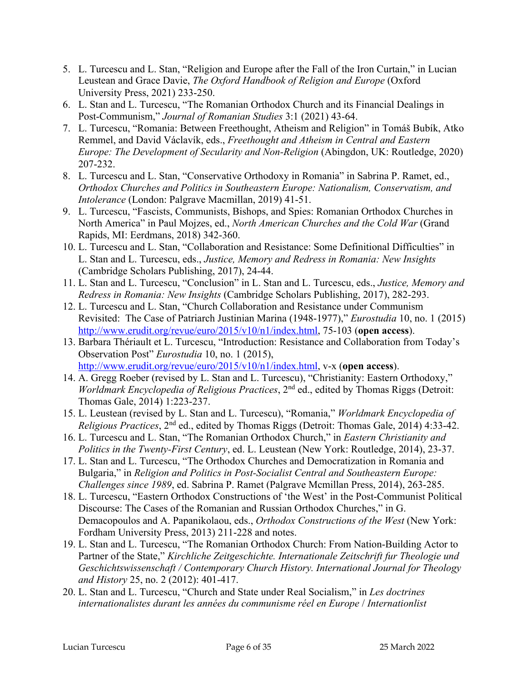- 5. L. Turcescu and L. Stan, "Religion and Europe after the Fall of the Iron Curtain," in Lucian Leustean and Grace Davie, *The Oxford Handbook of Religion and Europe* (Oxford University Press, 2021) 233-250.
- 6. L. Stan and L. Turcescu, "The Romanian Orthodox Church and its Financial Dealings in Post-Communism," *Journal of Romanian Studies* 3:1 (2021) 43-64.
- 7. L. Turcescu, "Romania: Between Freethought, Atheism and Religion" in Tomáš Bubík, Atko Remmel, and David Václavík, eds., *Freethought and Atheism in Central and Eastern Europe: The Development of Secularity and Non-Religion* (Abingdon, UK: Routledge, 2020) 207-232.
- 8. L. Turcescu and L. Stan, "Conservative Orthodoxy in Romania" in Sabrina P. Ramet, ed., *Orthodox Churches and Politics in Southeastern Europe: Nationalism, Conservatism, and Intolerance* (London: Palgrave Macmillan, 2019) 41-51.
- 9. L. Turcescu, "Fascists, Communists, Bishops, and Spies: Romanian Orthodox Churches in North America" in Paul Mojzes, ed., *North American Churches and the Cold War* (Grand Rapids, MI: Eerdmans, 2018) 342-360.
- 10. L. Turcescu and L. Stan, "Collaboration and Resistance: Some Definitional Difficulties" in L. Stan and L. Turcescu, eds., *Justice, Memory and Redress in Romania: New Insights* (Cambridge Scholars Publishing, 2017), 24-44.
- 11. L. Stan and L. Turcescu, "Conclusion" in L. Stan and L. Turcescu, eds., *Justice, Memory and Redress in Romania: New Insights* (Cambridge Scholars Publishing, 2017), 282-293.
- 12. L. Turcescu and L. Stan, "Church Collaboration and Resistance under Communism Revisited: The Case of Patriarch Justinian Marina (1948-1977)," *Eurostudia* 10, no. 1 (2015) http://www.erudit.org/revue/euro/2015/v10/n1/index.html, 75-103 (**open access**).
- 13. Barbara Thériault et L. Turcescu, "Introduction: Resistance and Collaboration from Today's Observation Post" *Eurostudia* 10, no. 1 (2015), http://www.erudit.org/revue/euro/2015/v10/n1/index.html, v-x (**open access**).
- 14. A. Gregg Roeber (revised by L. Stan and L. Turcescu), "Christianity: Eastern Orthodoxy," *Worldmark Encyclopedia of Religious Practices*, 2nd ed., edited by Thomas Riggs (Detroit: Thomas Gale, 2014) 1:223-237.
- 15. L. Leustean (revised by L. Stan and L. Turcescu), "Romania," *Worldmark Encyclopedia of Religious Practices*, 2nd ed., edited by Thomas Riggs (Detroit: Thomas Gale, 2014) 4:33-42.
- 16. L. Turcescu and L. Stan, "The Romanian Orthodox Church," in *Eastern Christianity and Politics in the Twenty-First Century*, ed. L. Leustean (New York: Routledge, 2014), 23-37.
- 17. L. Stan and L. Turcescu, "The Orthodox Churches and Democratization in Romania and Bulgaria," in *Religion and Politics in Post-Socialist Central and Southeastern Europe: Challenges since 1989*, ed. Sabrina P. Ramet (Palgrave Mcmillan Press, 2014), 263-285.
- 18. L. Turcescu, "Eastern Orthodox Constructions of 'the West' in the Post-Communist Political Discourse: The Cases of the Romanian and Russian Orthodox Churches," in G. Demacopoulos and A. Papanikolaou, eds., *Orthodox Constructions of the West* (New York: Fordham University Press, 2013) 211-228 and notes.
- 19. L. Stan and L. Turcescu, "The Romanian Orthodox Church: From Nation-Building Actor to Partner of the State," *Kirchliche Zeitgeschichte. Internationale Zeitschrift fur Theologie und Geschichtswissenschaft / Contemporary Church History. International Journal for Theology and History* 25, no. 2 (2012): 401-417.
- 20. L. Stan and L. Turcescu, "Church and State under Real Socialism," in *Les doctrines internationalistes durant les années du communisme réel en Europe* / *Internationlist*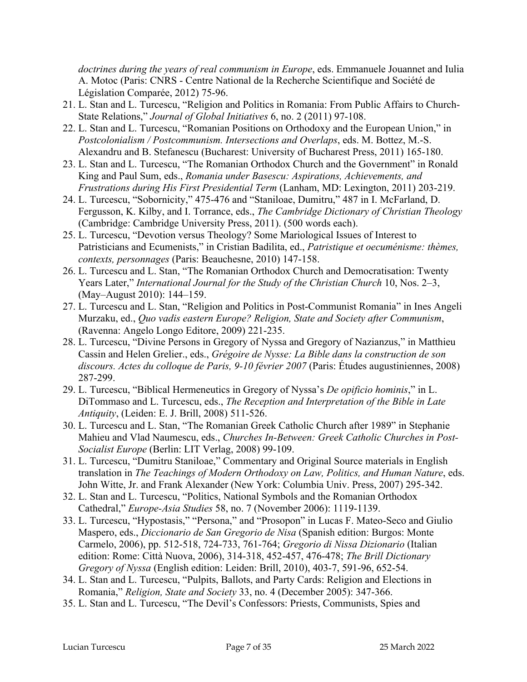*doctrines during the years of real communism in Europe*, eds. Emmanuele Jouannet and Iulia A. Motoc (Paris: CNRS - Centre National de la Recherche Scientifique and Société de Législation Comparée, 2012) 75-96.

- 21. L. Stan and L. Turcescu, "Religion and Politics in Romania: From Public Affairs to Church-State Relations," *Journal of Global Initiatives* 6, no. 2 (2011) 97-108.
- 22. L. Stan and L. Turcescu, "Romanian Positions on Orthodoxy and the European Union," in *Postcolonialism / Postcommunism. Intersections and Overlaps*, eds. M. Bottez, M.-S. Alexandru and B. Stefanescu (Bucharest: University of Bucharest Press, 2011) 165-180.
- 23. L. Stan and L. Turcescu, "The Romanian Orthodox Church and the Government" in Ronald King and Paul Sum, eds., *Romania under Basescu: Aspirations, Achievements, and Frustrations during His First Presidential Term* (Lanham, MD: Lexington, 2011) 203-219.
- 24. L. Turcescu, "Sobornicity," 475-476 and "Staniloae, Dumitru," 487 in I. McFarland, D. Fergusson, K. Kilby, and I. Torrance, eds., *The Cambridge Dictionary of Christian Theology* (Cambridge: Cambridge University Press, 2011). (500 words each).
- 25. L. Turcescu, "Devotion versus Theology? Some Mariological Issues of Interest to Patristicians and Ecumenists," in Cristian Badilita, ed., *Patristique et oecuménisme: thèmes, contexts, personnages* (Paris: Beauchesne, 2010) 147-158.
- 26. L. Turcescu and L. Stan, "The Romanian Orthodox Church and Democratisation: Twenty Years Later," *International Journal for the Study of the Christian Church* 10, Nos. 2–3, (May–August 2010): 144–159.
- 27. L. Turcescu and L. Stan, "Religion and Politics in Post-Communist Romania" in Ines Angeli Murzaku, ed., *Quo vadis eastern Europe? Religion, State and Society after Communism*, (Ravenna: Angelo Longo Editore, 2009) 221-235.
- 28. L. Turcescu, "Divine Persons in Gregory of Nyssa and Gregory of Nazianzus," in Matthieu Cassin and Helen Grelier., eds., *Grégoire de Nysse: La Bible dans la construction de son discours. Actes du colloque de Paris, 9-10 février 2007* (Paris: Études augustiniennes, 2008) 287-299.
- 29. L. Turcescu, "Biblical Hermeneutics in Gregory of Nyssa's *De opificio hominis*," in L. DiTommaso and L. Turcescu, eds., *The Reception and Interpretation of the Bible in Late Antiquity*, (Leiden: E. J. Brill, 2008) 511-526.
- 30. L. Turcescu and L. Stan, "The Romanian Greek Catholic Church after 1989" in Stephanie Mahieu and Vlad Naumescu, eds., *Churches In-Between: Greek Catholic Churches in Post-Socialist Europe* (Berlin: LIT Verlag, 2008) 99-109.
- 31. L. Turcescu, "Dumitru Staniloae," Commentary and Original Source materials in English translation in *The Teachings of Modern Orthodoxy on Law, Politics, and Human Nature*, eds. John Witte, Jr. and Frank Alexander (New York: Columbia Univ. Press, 2007) 295-342.
- 32. L. Stan and L. Turcescu, "Politics, National Symbols and the Romanian Orthodox Cathedral," *Europe-Asia Studies* 58, no. 7 (November 2006): 1119-1139.
- 33. L. Turcescu, "Hypostasis," "Persona," and "Prosopon" in Lucas F. Mateo-Seco and Giulio Maspero, eds., *Diccionario de San Gregorio de Nisa* (Spanish edition: Burgos: Monte Carmelo, 2006), pp. 512-518, 724-733, 761-764; *Gregorio di Nissa Dizionario* (Italian edition: Rome: Città Nuova, 2006), 314-318, 452-457, 476-478; *The Brill Dictionary Gregory of Nyssa* (English edition: Leiden: Brill, 2010), 403-7, 591-96, 652-54.
- 34. L. Stan and L. Turcescu, "Pulpits, Ballots, and Party Cards: Religion and Elections in Romania," *Religion, State and Society* 33, no. 4 (December 2005): 347-366.
- 35. L. Stan and L. Turcescu, "The Devil's Confessors: Priests, Communists, Spies and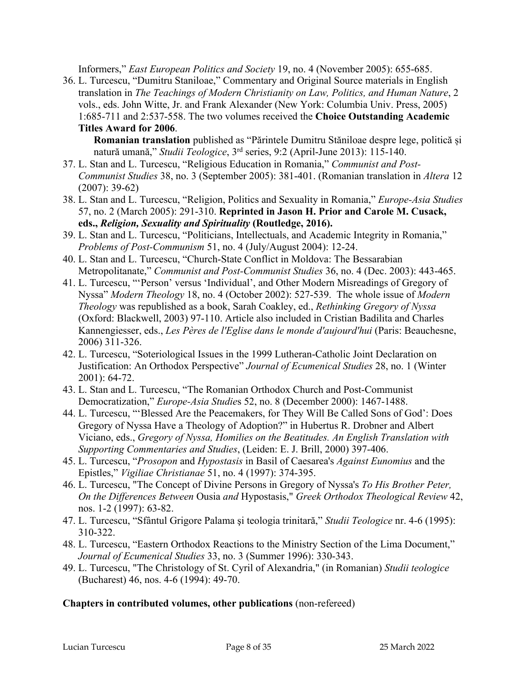Informers," *East European Politics and Society* 19, no. 4 (November 2005): 655-685.

36. L. Turcescu, "Dumitru Staniloae," Commentary and Original Source materials in English translation in *The Teachings of Modern Christianity on Law, Politics, and Human Nature*, 2 vols., eds. John Witte, Jr. and Frank Alexander (New York: Columbia Univ. Press, 2005) 1:685-711 and 2:537-558. The two volumes received the **Choice Outstanding Academic Titles Award for 2006**.

**Romanian translation** published as "Părintele Dumitru Stăniloae despre lege, politică și natură umană," *Studii Teologice*, 3rd series, 9:2 (April-June 2013): 115-140.

- 37. L. Stan and L. Turcescu, "Religious Education in Romania," *Communist and Post-Communist Studies* 38, no. 3 (September 2005): 381-401. (Romanian translation in *Altera* 12 (2007): 39-62)
- 38. L. Stan and L. Turcescu, "Religion, Politics and Sexuality in Romania," *Europe-Asia Studies* 57, no. 2 (March 2005): 291-310. **Reprinted in Jason H. Prior and Carole M. Cusack, eds.,** *Religion, Sexuality and Spirituality* **(Routledge, 2016).**
- 39. L. Stan and L. Turcescu, "Politicians, Intellectuals, and Academic Integrity in Romania," *Problems of Post-Communism* 51, no. 4 (July/August 2004): 12-24.
- 40. L. Stan and L. Turcescu, "Church-State Conflict in Moldova: The Bessarabian Metropolitanate," *Communist and Post-Communist Studies* 36, no. 4 (Dec. 2003): 443-465.
- 41. L. Turcescu, "'Person' versus 'Individual', and Other Modern Misreadings of Gregory of Nyssa" *Modern Theology* 18, no. 4 (October 2002): 527-539. The whole issue of *Modern Theology* was republished as a book, Sarah Coakley, ed., *Rethinking Gregory of Nyssa* (Oxford: Blackwell, 2003) 97-110. Article also included in Cristian Badilita and Charles Kannengiesser, eds., *Les Pères de l'Eglise dans le monde d'aujourd'hui* (Paris: Beauchesne, 2006) 311-326.
- 42. L. Turcescu, "Soteriological Issues in the 1999 Lutheran-Catholic Joint Declaration on Justification: An Orthodox Perspective" *Journal of Ecumenical Studies* 28, no. 1 (Winter 2001): 64-72.
- 43. L. Stan and L. Turcescu, "The Romanian Orthodox Church and Post-Communist Democratization," *Europe-Asia Studie*s 52, no. 8 (December 2000): 1467-1488.
- 44. L. Turcescu, "'Blessed Are the Peacemakers, for They Will Be Called Sons of God': Does Gregory of Nyssa Have a Theology of Adoption?" in Hubertus R. Drobner and Albert Viciano, eds., *Gregory of Nyssa, Homilies on the Beatitudes. An English Translation with Supporting Commentaries and Studies*, (Leiden: E. J. Brill, 2000) 397-406.
- 45. L. Turcescu, "*Prosopon* and *Hypostasis* in Basil of Caesarea's *Against Eunomius* and the Epistles," *Vigiliae Christianae* 51, no. 4 (1997): 374-395.
- 46. L. Turcescu, "The Concept of Divine Persons in Gregory of Nyssa's *To His Brother Peter, On the Differences Between* Ousia *and* Hypostasis," *Greek Orthodox Theological Review* 42, nos. 1-2 (1997): 63-82.
- 47. L. Turcescu, "Sfântul Grigore Palama şi teologia trinitară," *Studii Teologice* nr. 4-6 (1995): 310-322.
- 48. L. Turcescu, "Eastern Orthodox Reactions to the Ministry Section of the Lima Document," *Journal of Ecumenical Studies* 33, no. 3 (Summer 1996): 330-343.
- 49. L. Turcescu, "The Christology of St. Cyril of Alexandria," (in Romanian) *Studii teologice* (Bucharest) 46, nos. 4-6 (1994): 49-70.

### **Chapters in contributed volumes, other publications** (non-refereed)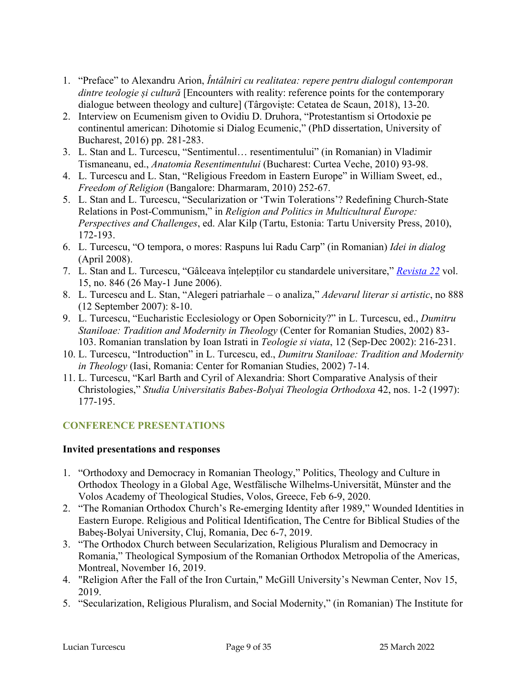- 1. "Preface" to Alexandru Arion, *Întâlniri cu realitatea: repere pentru dialogul contemporan dintre teologie și cultură* [Encounters with reality: reference points for the contemporary dialogue between theology and culture] (Târgoviște: Cetatea de Scaun, 2018), 13-20.
- 2. Interview on Ecumenism given to Ovidiu D. Druhora, "Protestantism si Ortodoxie pe continentul american: Dihotomie si Dialog Ecumenic," (PhD dissertation, University of Bucharest, 2016) pp. 281-283.
- 3. L. Stan and L. Turcescu, "Sentimentul… resentimentului" (in Romanian) in Vladimir Tismaneanu, ed., *Anatomia Resentimentului* (Bucharest: Curtea Veche, 2010) 93-98.
- 4. L. Turcescu and L. Stan, "Religious Freedom in Eastern Europe" in William Sweet, ed., *Freedom of Religion* (Bangalore: Dharmaram, 2010) 252-67.
- 5. L. Stan and L. Turcescu, "Secularization or 'Twin Tolerations'? Redefining Church-State Relations in Post-Communism," in *Religion and Politics in Multicultural Europe: Perspectives and Challenges*, ed. Alar Kilp (Tartu, Estonia: Tartu University Press, 2010), 172-193.
- 6. L. Turcescu, "O tempora, o mores: Raspuns lui Radu Carp" (in Romanian) *Idei in dialog* (April 2008).
- 7. L. Stan and L. Turcescu, "Gâlceava înțelepților cu standardele universitare," *Revista 22* vol. 15, no. 846 (26 May-1 June 2006).
- 8. L. Turcescu and L. Stan, "Alegeri patriarhale o analiza," *Adevarul literar si artistic*, no 888 (12 September 2007): 8-10.
- 9. L. Turcescu, "Eucharistic Ecclesiology or Open Sobornicity?" in L. Turcescu, ed., *Dumitru Staniloae: Tradition and Modernity in Theology* (Center for Romanian Studies, 2002) 83- 103. Romanian translation by Ioan Istrati in *Teologie si viata*, 12 (Sep-Dec 2002): 216-231.
- 10. L. Turcescu, "Introduction" in L. Turcescu, ed., *Dumitru Staniloae: Tradition and Modernity in Theology* (Iasi, Romania: Center for Romanian Studies, 2002) 7-14.
- 11. L. Turcescu, "Karl Barth and Cyril of Alexandria: Short Comparative Analysis of their Christologies," *Studia Universitatis Babes-Bolyai Theologia Orthodoxa* 42, nos. 1-2 (1997): 177-195.

# **CONFERENCE PRESENTATIONS**

#### **Invited presentations and responses**

- 1. "Orthodoxy and Democracy in Romanian Theology," Politics, Theology and Culture in Orthodox Theology in a Global Age, Westfälische Wilhelms-Universität, Münster and the Volos Academy of Theological Studies, Volos, Greece, Feb 6-9, 2020.
- 2. "The Romanian Orthodox Church's Re-emerging Identity after 1989," Wounded Identities in Eastern Europe. Religious and Political Identification, The Centre for Biblical Studies of the Babeș-Bolyai University, Cluj, Romania, Dec 6-7, 2019.
- 3. "The Orthodox Church between Secularization, Religious Pluralism and Democracy in Romania," Theological Symposium of the Romanian Orthodox Metropolia of the Americas, Montreal, November 16, 2019.
- 4. "Religion After the Fall of the Iron Curtain," McGill University's Newman Center, Nov 15, 2019.
- 5. "Secularization, Religious Pluralism, and Social Modernity," (in Romanian) The Institute for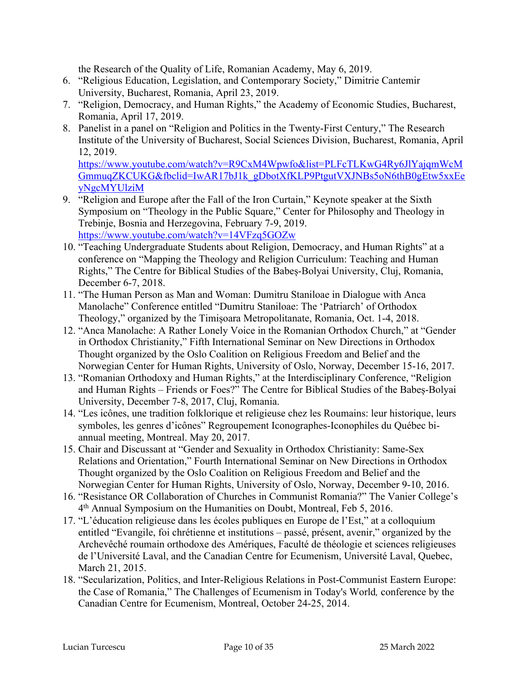the Research of the Quality of Life, Romanian Academy, May 6, 2019.

- 6. "Religious Education, Legislation, and Contemporary Society," Dimitrie Cantemir University, Bucharest, Romania, April 23, 2019.
- 7. "Religion, Democracy, and Human Rights," the Academy of Economic Studies, Bucharest, Romania, April 17, 2019.
- 8. Panelist in a panel on "Religion and Politics in the Twenty-First Century," The Research Institute of the University of Bucharest, Social Sciences Division, Bucharest, Romania, April 12, 2019.

https://www.youtube.com/watch?v=R9CxM4Wpwfo&list=PLFcTLKwG4Ry6JlYajqmWcM GmmuqZKCUKG&fbclid=IwAR17bJ1k\_gDbotXfKLP9PtgutVXJNBs5oN6thB0gEtw5xxEe yNgcMYUlziM

- 9. "Religion and Europe after the Fall of the Iron Curtain," Keynote speaker at the Sixth Symposium on "Theology in the Public Square," Center for Philosophy and Theology in Trebinje, Bosnia and Herzegovina, February 7-9, 2019. https://www.youtube.com/watch?v=14VFzq5GOZw
- 10. "Teaching Undergraduate Students about Religion, Democracy, and Human Rights" at a conference on "Mapping the Theology and Religion Curriculum: Teaching and Human Rights," The Centre for Biblical Studies of the Babeș-Bolyai University, Cluj, Romania, December 6-7, 2018.
- 11. "The Human Person as Man and Woman: Dumitru Staniloae in Dialogue with Anca Manolache" Conference entitled "Dumitru Staniloae: The 'Patriarch' of Orthodox Theology," organized by the Timișoara Metropolitanate, Romania, Oct. 1-4, 2018.
- 12. "Anca Manolache: A Rather Lonely Voice in the Romanian Orthodox Church," at "Gender in Orthodox Christianity," Fifth International Seminar on New Directions in Orthodox Thought organized by the Oslo Coalition on Religious Freedom and Belief and the Norwegian Center for Human Rights, University of Oslo, Norway, December 15-16, 2017.
- 13. "Romanian Orthodoxy and Human Rights," at the Interdisciplinary Conference, "Religion and Human Rights – Friends or Foes?" The Centre for Biblical Studies of the Babeș-Bolyai University, December 7-8, 2017, Cluj, Romania.
- 14. "Les icônes, une tradition folklorique et religieuse chez les Roumains: leur historique, leurs symboles, les genres d'icônes" Regroupement Iconographes-Iconophiles du Québec biannual meeting, Montreal. May 20, 2017.
- 15. Chair and Discussant at "Gender and Sexuality in Orthodox Christianity: Same-Sex Relations and Orientation," Fourth International Seminar on New Directions in Orthodox Thought organized by the Oslo Coalition on Religious Freedom and Belief and the Norwegian Center for Human Rights, University of Oslo, Norway, December 9-10, 2016.
- 16. "Resistance OR Collaboration of Churches in Communist Romania?" The Vanier College's 4th Annual Symposium on the Humanities on Doubt, Montreal, Feb 5, 2016.
- 17. "L'éducation religieuse dans les écoles publiques en Europe de l'Est," at a colloquium entitled "Evangile, foi chrétienne et institutions – passé, présent, avenir," organized by the Archevêché roumain orthodoxe des Amériques, Faculté de théologie et sciences religieuses de l'Université Laval, and the Canadian Centre for Ecumenism, Université Laval, Quebec, March 21, 2015.
- 18. "Secularization, Politics, and Inter-Religious Relations in Post-Communist Eastern Europe: the Case of Romania," The Challenges of Ecumenism in Today's World*,* conference by the Canadian Centre for Ecumenism, Montreal, October 24-25, 2014.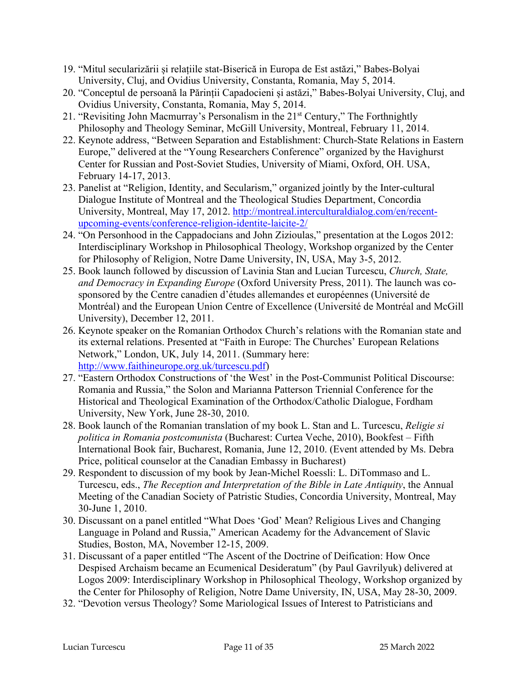- 19. "Mitul secularizării și relațiile stat-Biserică in Europa de Est astăzi," Babes-Bolyai University, Cluj, and Ovidius University, Constanta, Romania, May 5, 2014.
- 20. "Conceptul de persoană la Părinții Capadocieni și astăzi," Babes-Bolyai University, Cluj, and Ovidius University, Constanta, Romania, May 5, 2014.
- 21. "Revisiting John Macmurray's Personalism in the 21<sup>st</sup> Century," The Forthnightly Philosophy and Theology Seminar, McGill University, Montreal, February 11, 2014.
- 22. Keynote address, "Between Separation and Establishment: Church-State Relations in Eastern Europe," delivered at the "Young Researchers Conference" organized by the Havighurst Center for Russian and Post-Soviet Studies, University of Miami, Oxford, OH. USA, February 14-17, 2013.
- 23. Panelist at "Religion, Identity, and Secularism," organized jointly by the Inter-cultural Dialogue Institute of Montreal and the Theological Studies Department, Concordia University, Montreal, May 17, 2012. http://montreal.interculturaldialog.com/en/recentupcoming-events/conference-religion-identite-laicite-2/
- 24. "On Personhood in the Cappadocians and John Zizioulas," presentation at the Logos 2012: Interdisciplinary Workshop in Philosophical Theology, Workshop organized by the Center for Philosophy of Religion, Notre Dame University, IN, USA, May 3-5, 2012.
- 25. Book launch followed by discussion of Lavinia Stan and Lucian Turcescu, *Church, State, and Democracy in Expanding Europe* (Oxford University Press, 2011). The launch was cosponsored by the Centre canadien d'études allemandes et européennes (Université de Montréal) and the European Union Centre of Excellence (Université de Montréal and McGill University), December 12, 2011.
- 26. Keynote speaker on the Romanian Orthodox Church's relations with the Romanian state and its external relations. Presented at "Faith in Europe: The Churches' European Relations Network," London, UK, July 14, 2011. (Summary here: http://www.faithineurope.org.uk/turcescu.pdf)
- 27. "Eastern Orthodox Constructions of 'the West' in the Post-Communist Political Discourse: Romania and Russia," the Solon and Marianna Patterson Triennial Conference for the Historical and Theological Examination of the Orthodox/Catholic Dialogue, Fordham University, New York, June 28-30, 2010.
- 28. Book launch of the Romanian translation of my book L. Stan and L. Turcescu, *Religie si politica in Romania postcomunista* (Bucharest: Curtea Veche, 2010), Bookfest – Fifth International Book fair, Bucharest, Romania, June 12, 2010. (Event attended by Ms. Debra Price, political counselor at the Canadian Embassy in Bucharest)
- 29. Respondent to discussion of my book by Jean-Michel Roessli: L. DiTommaso and L. Turcescu, eds., *The Reception and Interpretation of the Bible in Late Antiquity*, the Annual Meeting of the Canadian Society of Patristic Studies, Concordia University, Montreal, May 30-June 1, 2010.
- 30. Discussant on a panel entitled "What Does 'God' Mean? Religious Lives and Changing Language in Poland and Russia," American Academy for the Advancement of Slavic Studies, Boston, MA, November 12-15, 2009.
- 31. Discussant of a paper entitled "The Ascent of the Doctrine of Deification: How Once Despised Archaism became an Ecumenical Desideratum" (by Paul Gavrilyuk) delivered at Logos 2009: Interdisciplinary Workshop in Philosophical Theology, Workshop organized by the Center for Philosophy of Religion, Notre Dame University, IN, USA, May 28-30, 2009.
- 32. "Devotion versus Theology? Some Mariological Issues of Interest to Patristicians and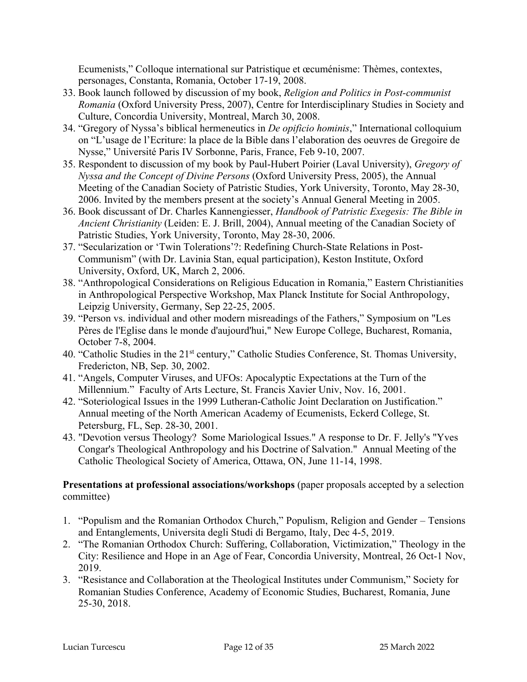Ecumenists," Colloque international sur Patristique et œcuménisme: Thèmes, contextes, personages, Constanta, Romania, October 17-19, 2008.

- 33. Book launch followed by discussion of my book, *Religion and Politics in Post-communist Romania* (Oxford University Press, 2007), Centre for Interdisciplinary Studies in Society and Culture, Concordia University, Montreal, March 30, 2008.
- 34. "Gregory of Nyssa's biblical hermeneutics in *De opificio hominis*," International colloquium on "L'usage de l'Ecriture: la place de la Bible dans l'elaboration des oeuvres de Gregoire de Nysse," Université Paris IV Sorbonne, Paris, France, Feb 9-10, 2007.
- 35. Respondent to discussion of my book by Paul-Hubert Poirier (Laval University), *Gregory of Nyssa and the Concept of Divine Persons* (Oxford University Press, 2005), the Annual Meeting of the Canadian Society of Patristic Studies, York University, Toronto, May 28-30, 2006. Invited by the members present at the society's Annual General Meeting in 2005.
- 36. Book discussant of Dr. Charles Kannengiesser, *Handbook of Patristic Exegesis: The Bible in Ancient Christianity* (Leiden: E. J. Brill, 2004), Annual meeting of the Canadian Society of Patristic Studies, York University, Toronto, May 28-30, 2006.
- 37. "Secularization or 'Twin Tolerations'?: Redefining Church-State Relations in Post-Communism" (with Dr. Lavinia Stan, equal participation), Keston Institute, Oxford University, Oxford, UK, March 2, 2006.
- 38. "Anthropological Considerations on Religious Education in Romania," Eastern Christianities in Anthropological Perspective Workshop, Max Planck Institute for Social Anthropology, Leipzig University, Germany, Sep 22-25, 2005.
- 39. "Person vs. individual and other modern misreadings of the Fathers," Symposium on "Les Pères de l'Eglise dans le monde d'aujourd'hui," New Europe College, Bucharest, Romania, October 7-8, 2004.
- 40. "Catholic Studies in the 21st century," Catholic Studies Conference, St. Thomas University, Fredericton, NB, Sep. 30, 2002.
- 41. "Angels, Computer Viruses, and UFOs: Apocalyptic Expectations at the Turn of the Millennium." Faculty of Arts Lecture, St. Francis Xavier Univ, Nov. 16, 2001.
- 42. "Soteriological Issues in the 1999 Lutheran-Catholic Joint Declaration on Justification." Annual meeting of the North American Academy of Ecumenists, Eckerd College, St. Petersburg, FL, Sep. 28-30, 2001.
- 43. "Devotion versus Theology? Some Mariological Issues." A response to Dr. F. Jelly's "Yves Congar's Theological Anthropology and his Doctrine of Salvation." Annual Meeting of the Catholic Theological Society of America, Ottawa, ON, June 11-14, 1998.

### **Presentations at professional associations/workshops** (paper proposals accepted by a selection committee)

- 1. "Populism and the Romanian Orthodox Church," Populism, Religion and Gender Tensions and Entanglements, Universita degli Studi di Bergamo, Italy, Dec 4-5, 2019.
- 2. "The Romanian Orthodox Church: Suffering, Collaboration, Victimization," Theology in the City: Resilience and Hope in an Age of Fear, Concordia University, Montreal, 26 Oct-1 Nov, 2019.
- 3. "Resistance and Collaboration at the Theological Institutes under Communism," Society for Romanian Studies Conference, Academy of Economic Studies, Bucharest, Romania, June 25-30, 2018.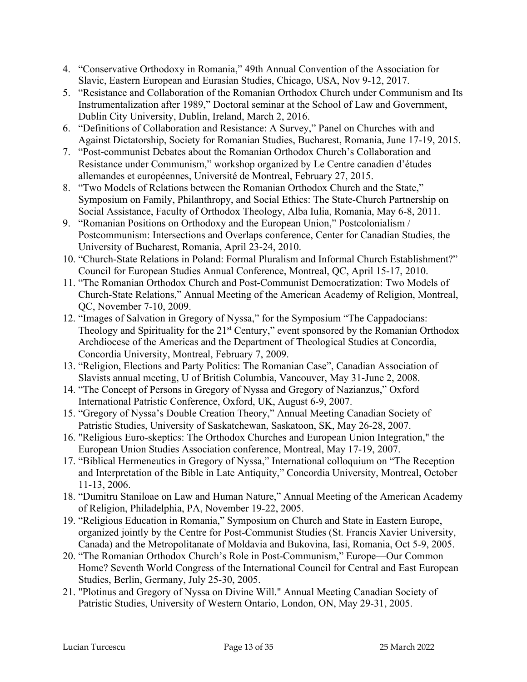- 4. "Conservative Orthodoxy in Romania," 49th Annual Convention of the Association for Slavic, Eastern European and Eurasian Studies, Chicago, USA, Nov 9-12, 2017.
- 5. "Resistance and Collaboration of the Romanian Orthodox Church under Communism and Its Instrumentalization after 1989," Doctoral seminar at the School of Law and Government, Dublin City University, Dublin, Ireland, March 2, 2016.
- 6. "Definitions of Collaboration and Resistance: A Survey," Panel on Churches with and Against Dictatorship, Society for Romanian Studies, Bucharest, Romania, June 17-19, 2015.
- 7. "Post-communist Debates about the Romanian Orthodox Church's Collaboration and Resistance under Communism," workshop organized by Le Centre canadien d'études allemandes et européennes, Université de Montreal, February 27, 2015.
- 8. "Two Models of Relations between the Romanian Orthodox Church and the State," Symposium on Family, Philanthropy, and Social Ethics: The State-Church Partnership on Social Assistance, Faculty of Orthodox Theology, Alba Iulia, Romania, May 6-8, 2011.
- 9. "Romanian Positions on Orthodoxy and the European Union," Postcolonialism / Postcommunism: Intersections and Overlaps conference, Center for Canadian Studies, the University of Bucharest, Romania, April 23-24, 2010.
- 10. "Church-State Relations in Poland: Formal Pluralism and Informal Church Establishment?" Council for European Studies Annual Conference, Montreal, QC, April 15-17, 2010.
- 11. "The Romanian Orthodox Church and Post-Communist Democratization: Two Models of Church-State Relations," Annual Meeting of the American Academy of Religion, Montreal, QC, November 7-10, 2009.
- 12. "Images of Salvation in Gregory of Nyssa," for the Symposium "The Cappadocians: Theology and Spirituality for the 21<sup>st</sup> Century," event sponsored by the Romanian Orthodox Archdiocese of the Americas and the Department of Theological Studies at Concordia, Concordia University, Montreal, February 7, 2009.
- 13. "Religion, Elections and Party Politics: The Romanian Case", Canadian Association of Slavists annual meeting, U of British Columbia, Vancouver, May 31-June 2, 2008.
- 14. "The Concept of Persons in Gregory of Nyssa and Gregory of Nazianzus," Oxford International Patristic Conference, Oxford, UK, August 6-9, 2007.
- 15. "Gregory of Nyssa's Double Creation Theory," Annual Meeting Canadian Society of Patristic Studies, University of Saskatchewan, Saskatoon, SK, May 26-28, 2007.
- 16. "Religious Euro-skeptics: The Orthodox Churches and European Union Integration," the European Union Studies Association conference, Montreal, May 17-19, 2007.
- 17. "Biblical Hermeneutics in Gregory of Nyssa," International colloquium on "The Reception and Interpretation of the Bible in Late Antiquity," Concordia University, Montreal, October 11-13, 2006.
- 18. "Dumitru Staniloae on Law and Human Nature," Annual Meeting of the American Academy of Religion, Philadelphia, PA, November 19-22, 2005.
- 19. "Religious Education in Romania," Symposium on Church and State in Eastern Europe, organized jointly by the Centre for Post-Communist Studies (St. Francis Xavier University, Canada) and the Metropolitanate of Moldavia and Bukovina, Iasi, Romania, Oct 5-9, 2005.
- 20. "The Romanian Orthodox Church's Role in Post-Communism," Europe—Our Common Home? Seventh World Congress of the International Council for Central and East European Studies, Berlin, Germany, July 25-30, 2005.
- 21. "Plotinus and Gregory of Nyssa on Divine Will." Annual Meeting Canadian Society of Patristic Studies, University of Western Ontario, London, ON, May 29-31, 2005.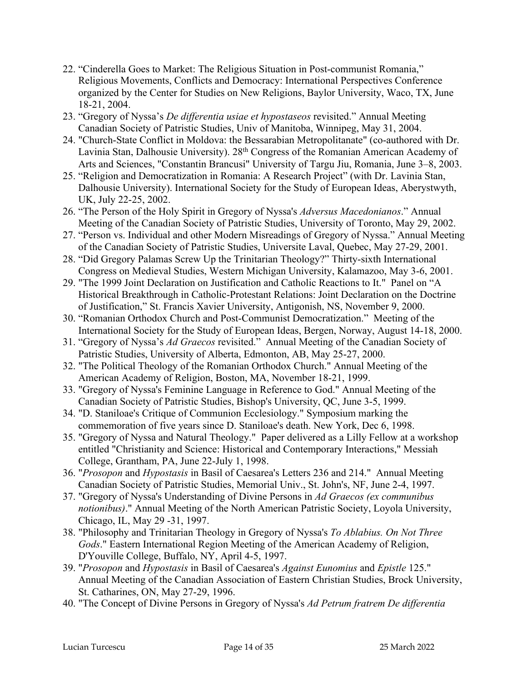- 22. "Cinderella Goes to Market: The Religious Situation in Post-communist Romania," Religious Movements, Conflicts and Democracy: International Perspectives Conference organized by the Center for Studies on New Religions, Baylor University, Waco, TX, June 18-21, 2004.
- 23. "Gregory of Nyssa's *De differentia usiae et hypostaseos* revisited." Annual Meeting Canadian Society of Patristic Studies, Univ of Manitoba, Winnipeg, May 31, 2004.
- 24. "Church-State Conflict in Moldova: the Bessarabian Metropolitanate" (co-authored with Dr. Lavinia Stan, Dalhousie University). 28<sup>th</sup> Congress of the Romanian American Academy of Arts and Sciences, "Constantin Brancusi" University of Targu Jiu, Romania, June 3–8, 2003.
- 25. "Religion and Democratization in Romania: A Research Project" (with Dr. Lavinia Stan, Dalhousie University). International Society for the Study of European Ideas, Aberystwyth, UK, July 22-25, 2002.
- 26. "The Person of the Holy Spirit in Gregory of Nyssa's *Adversus Macedonianos*." Annual Meeting of the Canadian Society of Patristic Studies, University of Toronto, May 29, 2002.
- 27. "Person vs. Individual and other Modern Misreadings of Gregory of Nyssa." Annual Meeting of the Canadian Society of Patristic Studies, Universite Laval, Quebec, May 27-29, 2001.
- 28. "Did Gregory Palamas Screw Up the Trinitarian Theology?" Thirty-sixth International Congress on Medieval Studies, Western Michigan University, Kalamazoo, May 3-6, 2001.
- 29. "The 1999 Joint Declaration on Justification and Catholic Reactions to It." Panel on "A Historical Breakthrough in Catholic-Protestant Relations: Joint Declaration on the Doctrine of Justification," St. Francis Xavier University, Antigonish, NS, November 9, 2000.
- 30. "Romanian Orthodox Church and Post-Communist Democratization." Meeting of the International Society for the Study of European Ideas, Bergen, Norway, August 14-18, 2000.
- 31. "Gregory of Nyssa's *Ad Graecos* revisited." Annual Meeting of the Canadian Society of Patristic Studies, University of Alberta, Edmonton, AB, May 25-27, 2000.
- 32. "The Political Theology of the Romanian Orthodox Church." Annual Meeting of the American Academy of Religion, Boston, MA, November 18-21, 1999.
- 33. "Gregory of Nyssa's Feminine Language in Reference to God." Annual Meeting of the Canadian Society of Patristic Studies, Bishop's University, QC, June 3-5, 1999.
- 34. "D. Staniloae's Critique of Communion Ecclesiology." Symposium marking the commemoration of five years since D. Staniloae's death. New York, Dec 6, 1998.
- 35. "Gregory of Nyssa and Natural Theology." Paper delivered as a Lilly Fellow at a workshop entitled "Christianity and Science: Historical and Contemporary Interactions," Messiah College, Grantham, PA, June 22-July 1, 1998.
- 36. "*Prosopon* and *Hypostasis* in Basil of Caesarea's Letters 236 and 214." Annual Meeting Canadian Society of Patristic Studies, Memorial Univ., St. John's, NF, June 2-4, 1997.
- 37. "Gregory of Nyssa's Understanding of Divine Persons in *Ad Graecos (ex communibus notionibus)*." Annual Meeting of the North American Patristic Society, Loyola University, Chicago, IL, May 29 -31, 1997.
- 38. "Philosophy and Trinitarian Theology in Gregory of Nyssa's *To Ablabius. On Not Three Gods*." Eastern International Region Meeting of the American Academy of Religion, D'Youville College, Buffalo, NY, April 4-5, 1997.
- 39. "*Prosopon* and *Hypostasis* in Basil of Caesarea's *Against Eunomius* and *Epistle* 125." Annual Meeting of the Canadian Association of Eastern Christian Studies, Brock University, St. Catharines, ON, May 27-29, 1996.
- 40. "The Concept of Divine Persons in Gregory of Nyssa's *Ad Petrum fratrem De differentia*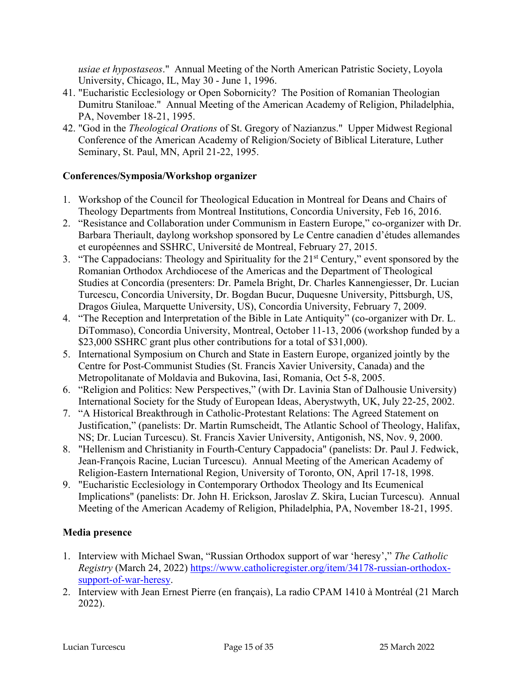*usiae et hypostaseos*." Annual Meeting of the North American Patristic Society, Loyola University, Chicago, IL, May 30 - June 1, 1996.

- 41. "Eucharistic Ecclesiology or Open Sobornicity? The Position of Romanian Theologian Dumitru Staniloae." Annual Meeting of the American Academy of Religion, Philadelphia, PA, November 18-21, 1995.
- 42. "God in the *Theological Orations* of St. Gregory of Nazianzus." Upper Midwest Regional Conference of the American Academy of Religion/Society of Biblical Literature, Luther Seminary, St. Paul, MN, April 21-22, 1995.

#### **Conferences/Symposia/Workshop organizer**

- 1. Workshop of the Council for Theological Education in Montreal for Deans and Chairs of Theology Departments from Montreal Institutions, Concordia University, Feb 16, 2016.
- 2. "Resistance and Collaboration under Communism in Eastern Europe," co-organizer with Dr. Barbara Theriault, daylong workshop sponsored by Le Centre canadien d'études allemandes et européennes and SSHRC, Université de Montreal, February 27, 2015.
- 3. "The Cappadocians: Theology and Spirituality for the 21st Century," event sponsored by the Romanian Orthodox Archdiocese of the Americas and the Department of Theological Studies at Concordia (presenters: Dr. Pamela Bright, Dr. Charles Kannengiesser, Dr. Lucian Turcescu, Concordia University, Dr. Bogdan Bucur, Duquesne University, Pittsburgh, US, Dragos Giulea, Marquette University, US), Concordia University, February 7, 2009.
- 4. "The Reception and Interpretation of the Bible in Late Antiquity" (co-organizer with Dr. L. DiTommaso), Concordia University, Montreal, October 11-13, 2006 (workshop funded by a \$23,000 SSHRC grant plus other contributions for a total of \$31,000).
- 5. International Symposium on Church and State in Eastern Europe, organized jointly by the Centre for Post-Communist Studies (St. Francis Xavier University, Canada) and the Metropolitanate of Moldavia and Bukovina, Iasi, Romania, Oct 5-8, 2005.
- 6. "Religion and Politics: New Perspectives," (with Dr. Lavinia Stan of Dalhousie University) International Society for the Study of European Ideas, Aberystwyth, UK, July 22-25, 2002.
- 7. "A Historical Breakthrough in Catholic-Protestant Relations: The Agreed Statement on Justification," (panelists: Dr. Martin Rumscheidt, The Atlantic School of Theology, Halifax, NS; Dr. Lucian Turcescu). St. Francis Xavier University, Antigonish, NS, Nov. 9, 2000.
- 8. "Hellenism and Christianity in Fourth-Century Cappadocia" (panelists: Dr. Paul J. Fedwick, Jean-François Racine, Lucian Turcescu). Annual Meeting of the American Academy of Religion-Eastern International Region, University of Toronto, ON, April 17-18, 1998.
- 9. "Eucharistic Ecclesiology in Contemporary Orthodox Theology and Its Ecumenical Implications" (panelists: Dr. John H. Erickson, Jaroslav Z. Skira, Lucian Turcescu). Annual Meeting of the American Academy of Religion, Philadelphia, PA, November 18-21, 1995.

### **Media presence**

- 1. Interview with Michael Swan, "Russian Orthodox support of war 'heresy'," *The Catholic Registry* (March 24, 2022) https://www.catholicregister.org/item/34178-russian-orthodoxsupport-of-war-heresy.
- 2. Interview with Jean Ernest Pierre (en français), La radio CPAM 1410 à Montréal (21 March 2022).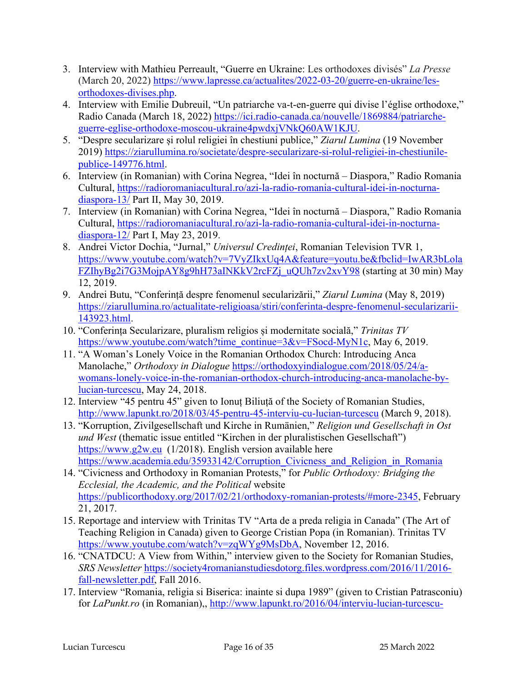- 3. Interview with Mathieu Perreault, "Guerre en Ukraine: Les orthodoxes divisés" *La Presse* (March 20, 2022) https://www.lapresse.ca/actualites/2022-03-20/guerre-en-ukraine/lesorthodoxes-divises.php.
- 4. Interview with Emilie Dubreuil, "Un patriarche va-t-en-guerre qui divise l'église orthodoxe," Radio Canada (March 18, 2022) https://ici.radio-canada.ca/nouvelle/1869884/patriarcheguerre-eglise-orthodoxe-moscou-ukraine4pwdxjVNkQ60AW1KJU.
- 5. "Despre secularizare și rolul religiei în chestiuni publice," *Ziarul Lumina* (19 November 2019) https://ziarullumina.ro/societate/despre-secularizare-si-rolul-religiei-in-chestiunilepublice-149776.html.
- 6. Interview (in Romanian) with Corina Negrea, "Idei în nocturnă Diaspora," Radio Romania Cultural, https://radioromaniacultural.ro/azi-la-radio-romania-cultural-idei-in-nocturnadiaspora-13/ Part II, May 30, 2019.
- 7. Interview (in Romanian) with Corina Negrea, "Idei în nocturnă Diaspora," Radio Romania Cultural, https://radioromaniacultural.ro/azi-la-radio-romania-cultural-idei-in-nocturnadiaspora-12/ Part I, May 23, 2019.
- 8. Andrei Victor Dochia, "Jurnal," *Universul Credinței*, Romanian Television TVR 1, https://www.youtube.com/watch?v=7VyZIkxUq4A&feature=youtu.be&fbclid=IwAR3bLola FZIhyBg2i7G3MojpAY8g9hH73aINKkV2rcFZj\_uQUh7zv2xvY98 (starting at 30 min) May 12, 2019.
- 9. Andrei Butu, "Conferință despre fenomenul secularizării," *Ziarul Lumina* (May 8, 2019) https://ziarullumina.ro/actualitate-religioasa/stiri/conferinta-despre-fenomenul-secularizarii-143923.html.
- 10. "Conferința Secularizare, pluralism religios și modernitate socială," *Trinitas TV* https://www.youtube.com/watch?time\_continue=3&v=FSocd-MyN1c, May 6, 2019.
- 11. "A Woman's Lonely Voice in the Romanian Orthodox Church: Introducing Anca Manolache," *Orthodoxy in Dialogue* https://orthodoxyindialogue.com/2018/05/24/awomans-lonely-voice-in-the-romanian-orthodox-church-introducing-anca-manolache-bylucian-turcescu, May 24, 2018.
- 12. Interview "45 pentru 45" given to Ionuț Biliuță of the Society of Romanian Studies, http://www.lapunkt.ro/2018/03/45-pentru-45-interviu-cu-lucian-turcescu (March 9, 2018).
- 13. "Korruption, Zivilgesellschaft und Kirche in Rumänien," *Religion und Gesellschaft in Ost und West* (thematic issue entitled "Kirchen in der pluralistischen Gesellschaft") https://www.g2w.eu (1/2018). English version available here https://www.academia.edu/35933142/Corruption Civicness and Religion in Romania
- 14. "Civicness and Orthodoxy in Romanian Protests," for *Public Orthodoxy: Bridging the Ecclesial, the Academic, and the Political* website https://publicorthodoxy.org/2017/02/21/orthodoxy-romanian-protests/#more-2345, February 21, 2017.
- 15. Reportage and interview with Trinitas TV "Arta de a preda religia in Canada" (The Art of Teaching Religion in Canada) given to George Cristian Popa (in Romanian). Trinitas TV https://www.youtube.com/watch?v=zqWYg9MsDbA, November 12, 2016.
- 16. "CNATDCU: A View from Within," interview given to the Society for Romanian Studies, *SRS Newsletter* https://society4romanianstudiesdotorg.files.wordpress.com/2016/11/2016 fall-newsletter.pdf, Fall 2016.
- 17. Interview "Romania, religia si Biserica: inainte si dupa 1989" (given to Cristian Patrasconiu) for *LaPunkt.ro* (in Romanian),, http://www.lapunkt.ro/2016/04/interviu-lucian-turcescu-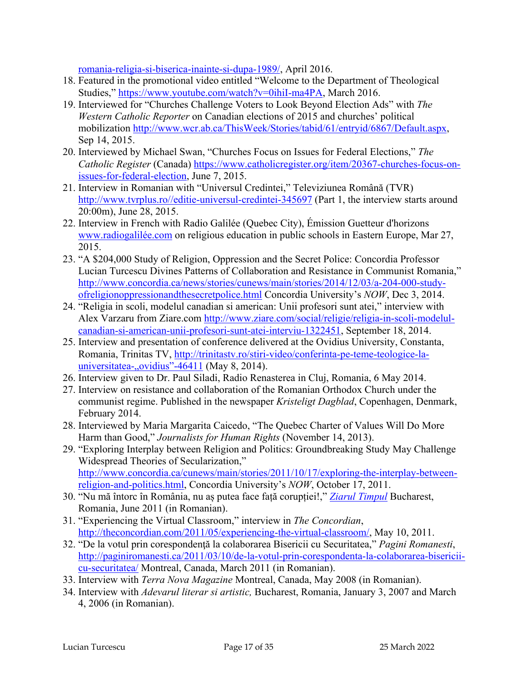romania-religia-si-biserica-inainte-si-dupa-1989/, April 2016.

- 18. Featured in the promotional video entitled "Welcome to the Department of Theological Studies," https://www.youtube.com/watch?v=0ihiI-ma4PA, March 2016.
- 19. Interviewed for "Churches Challenge Voters to Look Beyond Election Ads" with *The Western Catholic Reporter* on Canadian elections of 2015 and churches' political mobilization http://www.wcr.ab.ca/ThisWeek/Stories/tabid/61/entryid/6867/Default.aspx, Sep 14, 2015.
- 20. Interviewed by Michael Swan, "Churches Focus on Issues for Federal Elections," *The Catholic Register* (Canada) https://www.catholicregister.org/item/20367-churches-focus-onissues-for-federal-election, June 7, 2015.
- 21. Interview in Romanian with "Universul Credintei," Televiziunea Română (TVR) http://www.tvrplus.ro//editie-universul-credintei-345697 (Part 1, the interview starts around 20:00m), June 28, 2015.
- 22. Interview in French with Radio Galilée (Quebec City), Émission Guetteur d'horizons www.radiogalilée.com on religious education in public schools in Eastern Europe, Mar 27, 2015.
- 23. "A \$204,000 Study of Religion, Oppression and the Secret Police: Concordia Professor Lucian Turcescu Divines Patterns of Collaboration and Resistance in Communist Romania," http://www.concordia.ca/news/stories/cunews/main/stories/2014/12/03/a-204-000-studyofreligionoppressionandthesecretpolice.html Concordia University's *NOW*, Dec 3, 2014.
- 24. "Religia in scoli, modelul canadian si american: Unii profesori sunt atei," interview with Alex Varzaru from Ziare.com http://www.ziare.com/social/religie/religia-in-scoli-modelulcanadian-si-american-unii-profesori-sunt-atei-interviu-1322451, September 18, 2014.
- 25. Interview and presentation of conference delivered at the Ovidius University, Constanta, Romania, Trinitas TV, http://trinitastv.ro/stiri-video/conferinta-pe-teme-teologice-launiversitatea- $,$ ovidius"-46411 (May 8, 2014).
- 26. Interview given to Dr. Paul Siladi, Radio Renasterea in Cluj, Romania, 6 May 2014.
- 27. Interview on resistance and collaboration of the Romanian Orthodox Church under the communist regime. Published in the newspaper *Kristeligt Dagblad*, Copenhagen, Denmark, February 2014.
- 28. Interviewed by Maria Margarita Caicedo, "The Quebec Charter of Values Will Do More Harm than Good," *Journalists for Human Rights* (November 14, 2013).
- 29. "Exploring Interplay between Religion and Politics: Groundbreaking Study May Challenge Widespread Theories of Secularization," http://www.concordia.ca/cunews/main/stories/2011/10/17/exploring-the-interplay-betweenreligion-and-politics.html, Concordia University's *NOW*, October 17, 2011.
- 30. "Nu mă întorc în România, nu aș putea face față corupției!," *Ziarul Timpul* Bucharest, Romania, June 2011 (in Romanian).
- 31. "Experiencing the Virtual Classroom," interview in *The Concordian*, http://theconcordian.com/2011/05/experiencing-the-virtual-classroom/, May 10, 2011.
- 32. "De la votul prin corespondenţă la colaborarea Bisericii cu Securitatea," *Pagini Romanesti*, http://paginiromanesti.ca/2011/03/10/de-la-votul-prin-corespondenta-la-colaborarea-bisericiicu-securitatea/ Montreal, Canada, March 2011 (in Romanian).
- 33. Interview with *Terra Nova Magazine* Montreal, Canada, May 2008 (in Romanian).
- 34. Interview with *Adevarul literar si artistic,* Bucharest, Romania, January 3, 2007 and March 4, 2006 (in Romanian).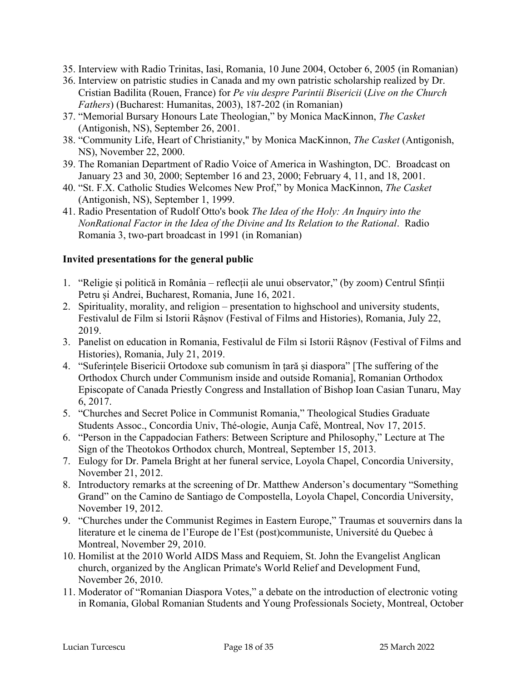- 35. Interview with Radio Trinitas, Iasi, Romania, 10 June 2004, October 6, 2005 (in Romanian)
- 36. Interview on patristic studies in Canada and my own patristic scholarship realized by Dr. Cristian Badilita (Rouen, France) for *Pe viu despre Parintii Bisericii* (*Live on the Church Fathers*) (Bucharest: Humanitas, 2003), 187-202 (in Romanian)
- 37. "Memorial Bursary Honours Late Theologian," by Monica MacKinnon, *The Casket* (Antigonish, NS), September 26, 2001.
- 38. "Community Life, Heart of Christianity," by Monica MacKinnon, *The Casket* (Antigonish, NS), November 22, 2000.
- 39. The Romanian Department of Radio Voice of America in Washington, DC. Broadcast on January 23 and 30, 2000; September 16 and 23, 2000; February 4, 11, and 18, 2001.
- 40. "St. F.X. Catholic Studies Welcomes New Prof," by Monica MacKinnon, *The Casket* (Antigonish, NS), September 1, 1999.
- 41. Radio Presentation of Rudolf Otto's book *The Idea of the Holy: An Inquiry into the NonRational Factor in the Idea of the Divine and Its Relation to the Rational*. Radio Romania 3, two-part broadcast in 1991 (in Romanian)

#### **Invited presentations for the general public**

- 1. "Religie și politică in România reflecții ale unui observator," (by zoom) Centrul Sfinții Petru și Andrei, Bucharest, Romania, June 16, 2021.
- 2. Spirituality, morality, and religion presentation to highschool and university students, Festivalul de Film si Istorii Râșnov (Festival of Films and Histories), Romania, July 22, 2019.
- 3. Panelist on education in Romania, Festivalul de Film si Istorii Râșnov (Festival of Films and Histories), Romania, July 21, 2019.
- 4. "Suferințele Bisericii Ortodoxe sub comunism în țară și diaspora" [The suffering of the Orthodox Church under Communism inside and outside Romania], Romanian Orthodox Episcopate of Canada Priestly Congress and Installation of Bishop Ioan Casian Tunaru, May 6, 2017.
- 5. "Churches and Secret Police in Communist Romania," Theological Studies Graduate Students Assoc., Concordia Univ, Thé-ologie, Aunja Café, Montreal, Nov 17, 2015.
- 6. "Person in the Cappadocian Fathers: Between Scripture and Philosophy," Lecture at The Sign of the Theotokos Orthodox church, Montreal, September 15, 2013.
- 7. Eulogy for Dr. Pamela Bright at her funeral service, Loyola Chapel, Concordia University, November 21, 2012.
- 8. Introductory remarks at the screening of Dr. Matthew Anderson's documentary "Something Grand" on the Camino de Santiago de Compostella, Loyola Chapel, Concordia University, November 19, 2012.
- 9. "Churches under the Communist Regimes in Eastern Europe," Traumas et souvernirs dans la literature et le cinema de l'Europe de l'Est (post)communiste, Université du Quebec à Montreal, November 29, 2010.
- 10. Homilist at the 2010 World AIDS Mass and Requiem, St. John the Evangelist Anglican church, organized by the Anglican Primate's World Relief and Development Fund, November 26, 2010.
- 11. Moderator of "Romanian Diaspora Votes," a debate on the introduction of electronic voting in Romania, Global Romanian Students and Young Professionals Society, Montreal, October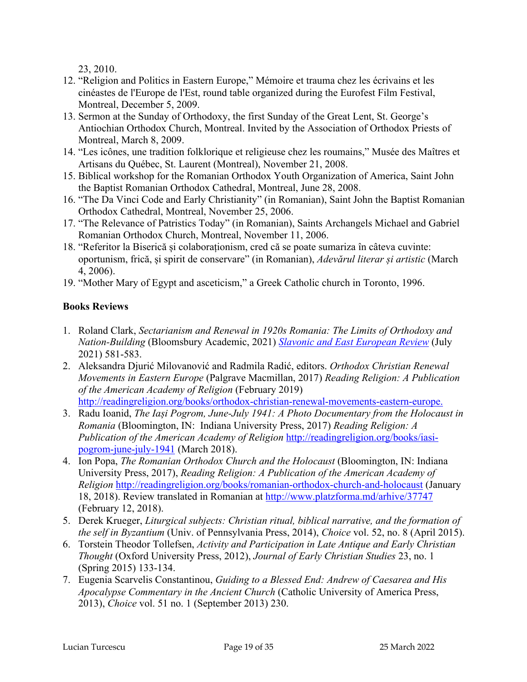23, 2010.

- 12. "Religion and Politics in Eastern Europe," Mémoire et trauma chez les écrivains et les cinéastes de l'Europe de l'Est, round table organized during the Eurofest Film Festival, Montreal, December 5, 2009.
- 13. Sermon at the Sunday of Orthodoxy, the first Sunday of the Great Lent, St. George's Antiochian Orthodox Church, Montreal. Invited by the Association of Orthodox Priests of Montreal, March 8, 2009.
- 14. "Les icônes, une tradition folklorique et religieuse chez les roumains," Musée des Maîtres et Artisans du Québec, St. Laurent (Montreal), November 21, 2008.
- 15. Biblical workshop for the Romanian Orthodox Youth Organization of America, Saint John the Baptist Romanian Orthodox Cathedral, Montreal, June 28, 2008.
- 16. "The Da Vinci Code and Early Christianity" (in Romanian), Saint John the Baptist Romanian Orthodox Cathedral, Montreal, November 25, 2006.
- 17. "The Relevance of Patristics Today" (in Romanian), Saints Archangels Michael and Gabriel Romanian Orthodox Church, Montreal, November 11, 2006.
- 18. "Referitor la Biserică și colaboraționism, cred că se poate sumariza în câteva cuvinte: oportunism, frică, și spirit de conservare" (in Romanian), *Adevărul literar și artistic* (March 4, 2006).
- 19. "Mother Mary of Egypt and asceticism," a Greek Catholic church in Toronto, 1996.

# **Books Reviews**

- 1. Roland Clark, *Sectarianism and Renewal in 1920s Romania: The Limits of Orthodoxy and Nation-Building* (Bloomsbury Academic, 2021) *Slavonic and East European Review* (July 2021) 581-583.
- 2. Aleksandra Djurić Milovanović and Radmila Radić, editors. *Orthodox Christian Renewal Movements in Eastern Europe* (Palgrave Macmillan, 2017) *Reading Religion: A Publication of the American Academy of Religion* (February 2019) http://readingreligion.org/books/orthodox-christian-renewal-movements-eastern-europe.
- 3. Radu Ioanid, *The Iași Pogrom, June-July 1941: A Photo Documentary from the Holocaust in Romania* (Bloomington, IN: Indiana University Press, 2017) *Reading Religion: A Publication of the American Academy of Religion* http://readingreligion.org/books/iasipogrom-june-july-1941 (March 2018).
- 4. Ion Popa, *The Romanian Orthodox Church and the Holocaust* (Bloomington, IN: Indiana University Press, 2017), *Reading Religion: A Publication of the American Academy of Religion* http://readingreligion.org/books/romanian-orthodox-church-and-holocaust (January 18, 2018). Review translated in Romanian at http://www.platzforma.md/arhive/37747 (February 12, 2018).
- 5. Derek Krueger, *Liturgical subjects: Christian ritual, biblical narrative, and the formation of the self in Byzantium* (Univ. of Pennsylvania Press, 2014), *Choice* vol. 52, no. 8 (April 2015).
- 6. Torstein Theodor Tollefsen, *Activity and Participation in Late Antique and Early Christian Thought* (Oxford University Press, 2012), *Journal of Early Christian Studies* 23, no. 1 (Spring 2015) 133-134.
- 7. Eugenia Scarvelis Constantinou, *Guiding to a Blessed End: Andrew of Caesarea and His Apocalypse Commentary in the Ancient Church* (Catholic University of America Press, 2013), *Choice* vol. 51 no. 1 (September 2013) 230.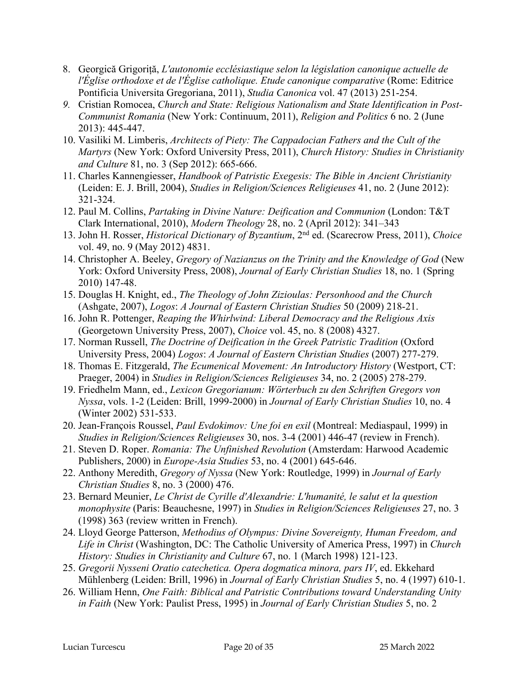- 8. Georgică Grigoriță, *L'autonomie ecclésiastique selon la législation canonique actuelle de l'Église orthodoxe et de l'Église catholique. Etude canonique comparative* (Rome: Editrice Pontificia Universita Gregoriana, 2011), *Studia Canonica* vol. 47 (2013) 251-254.
- *9.* Cristian Romocea, *Church and State: Religious Nationalism and State Identification in Post-Communist Romania* (New York: Continuum, 2011), *Religion and Politics* 6 no. 2 (June 2013): 445-447.
- 10. Vasiliki M. Limberis, *Architects of Piety: The Cappadocian Fathers and the Cult of the Martyrs* (New York: Oxford University Press, 2011), *Church History: Studies in Christianity and Culture* 81, no. 3 (Sep 2012): 665-666.
- 11. Charles Kannengiesser, *Handbook of Patristic Exegesis: The Bible in Ancient Christianity* (Leiden: E. J. Brill, 2004), *Studies in Religion/Sciences Religieuses* 41, no. 2 (June 2012): 321-324.
- 12. Paul M. Collins, *Partaking in Divine Nature: Deification and Communion* (London: T&T Clark International, 2010), *Modern Theology* 28, no. 2 (April 2012): 341–343
- 13. John H. Rosser, *Historical Dictionary of Byzantium*, 2nd ed. (Scarecrow Press, 2011), *Choice* vol. 49, no. 9 (May 2012) 4831.
- 14. Christopher A. Beeley, *Gregory of Nazianzus on the Trinity and the Knowledge of God* (New York: Oxford University Press, 2008), *Journal of Early Christian Studies* 18, no. 1 (Spring 2010) 147-48.
- 15. Douglas H. Knight, ed., *The Theology of John Zizioulas: Personhood and the Church* (Ashgate, 2007), *Logos*: *A Journal of Eastern Christian Studies* 50 (2009) 218-21.
- 16. John R. Pottenger, *Reaping the Whirlwind: Liberal Democracy and the Religious Axis* (Georgetown University Press, 2007), *Choice* vol. 45, no. 8 (2008) 4327.
- 17. Norman Russell, *The Doctrine of Deification in the Greek Patristic Tradition* (Oxford University Press, 2004) *Logos*: *A Journal of Eastern Christian Studies* (2007) 277-279.
- 18. Thomas E. Fitzgerald, *The Ecumenical Movement: An Introductory History* (Westport, CT: Praeger, 2004) in *Studies in Religion/Sciences Religieuses* 34, no. 2 (2005) 278-279.
- 19. Friedhelm Mann, ed., *Lexicon Gregorianum: Wörterbuch zu den Schriften Gregors von Nyssa*, vols. 1-2 (Leiden: Brill, 1999-2000) in *Journal of Early Christian Studies* 10, no. 4 (Winter 2002) 531-533.
- 20. Jean-François Roussel, *Paul Evdokimov: Une foi en exil* (Montreal: Mediaspaul, 1999) in *Studies in Religion/Sciences Religieuses* 30, nos. 3-4 (2001) 446-47 (review in French).
- 21. Steven D. Roper. *Romania: The Unfinished Revolution* (Amsterdam: Harwood Academic Publishers, 2000) in *Europe-Asia Studies* 53, no. 4 (2001) 645-646.
- 22. Anthony Meredith, *Gregory of Nyssa* (New York: Routledge, 1999) in *Journal of Early Christian Studies* 8, no. 3 (2000) 476.
- 23. Bernard Meunier, *Le Christ de Cyrille d'Alexandrie: L'humanité, le salut et la question monophysite* (Paris: Beauchesne, 1997) in *Studies in Religion/Sciences Religieuses* 27, no. 3 (1998) 363 (review written in French).
- 24. Lloyd George Patterson, *Methodius of Olympus: Divine Sovereignty, Human Freedom, and Life in Christ* (Washington, DC: The Catholic University of America Press, 1997) in *Church History: Studies in Christianity and Culture* 67, no. 1 (March 1998) 121-123.
- 25. *Gregorii Nysseni Oratio catechetica. Opera dogmatica minora, pars IV*, ed. Ekkehard Mühlenberg (Leiden: Brill, 1996) in *Journal of Early Christian Studies* 5, no. 4 (1997) 610-1.
- 26. William Henn, *One Faith: Biblical and Patristic Contributions toward Understanding Unity in Faith* (New York: Paulist Press, 1995) in *Journal of Early Christian Studies* 5, no. 2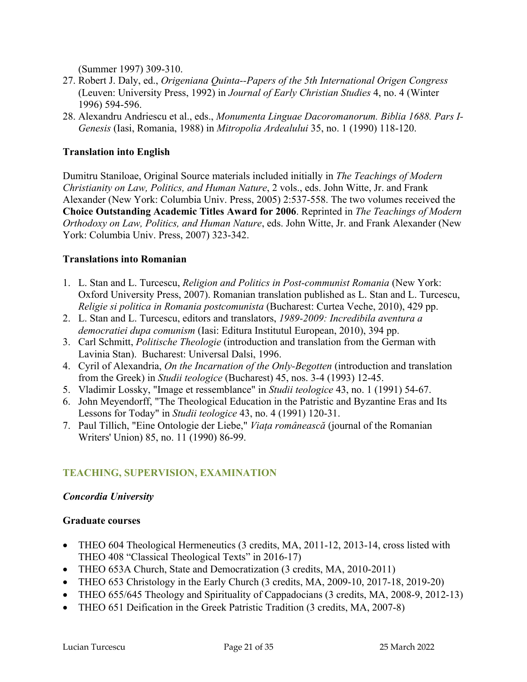(Summer 1997) 309-310.

- 27. Robert J. Daly, ed., *Origeniana Quinta--Papers of the 5th International Origen Congress* (Leuven: University Press, 1992) in *Journal of Early Christian Studies* 4, no. 4 (Winter 1996) 594-596.
- 28. Alexandru Andriescu et al., eds., *Monumenta Linguae Dacoromanorum. Biblia 1688. Pars I-Genesis* (Iasi, Romania, 1988) in *Mitropolia Ardealului* 35, no. 1 (1990) 118-120.

#### **Translation into English**

Dumitru Staniloae, Original Source materials included initially in *The Teachings of Modern Christianity on Law, Politics, and Human Nature*, 2 vols., eds. John Witte, Jr. and Frank Alexander (New York: Columbia Univ. Press, 2005) 2:537-558. The two volumes received the **Choice Outstanding Academic Titles Award for 2006**. Reprinted in *The Teachings of Modern Orthodoxy on Law, Politics, and Human Nature*, eds. John Witte, Jr. and Frank Alexander (New York: Columbia Univ. Press, 2007) 323-342.

#### **Translations into Romanian**

- 1. L. Stan and L. Turcescu, *Religion and Politics in Post-communist Romania* (New York: Oxford University Press, 2007). Romanian translation published as L. Stan and L. Turcescu, *Religie si politica in Romania postcomunista* (Bucharest: Curtea Veche, 2010), 429 pp.
- 2. L. Stan and L. Turcescu, editors and translators, *1989-2009: Incredibila aventura a democratiei dupa comunism* (Iasi: Editura Institutul European, 2010), 394 pp.
- 3. Carl Schmitt, *Politische Theologie* (introduction and translation from the German with Lavinia Stan). Bucharest: Universal Dalsi, 1996.
- 4. Cyril of Alexandria, *On the Incarnation of the Only-Begotten* (introduction and translation from the Greek) in *Studii teologice* (Bucharest) 45, nos. 3-4 (1993) 12-45.
- 5. Vladimir Lossky, "Image et ressemblance" in *Studii teologice* 43, no. 1 (1991) 54-67.
- 6. John Meyendorff, "The Theological Education in the Patristic and Byzantine Eras and Its Lessons for Today" in *Studii teologice* 43, no. 4 (1991) 120-31.
- 7. Paul Tillich, "Eine Ontologie der Liebe," *Viața românească* (journal of the Romanian Writers' Union) 85, no. 11 (1990) 86-99.

### **TEACHING, SUPERVISION, EXAMINATION**

#### *Concordia University*

#### **Graduate courses**

- THEO 604 Theological Hermeneutics (3 credits, MA, 2011-12, 2013-14, cross listed with THEO 408 "Classical Theological Texts" in 2016-17)
- THEO 653A Church, State and Democratization (3 credits, MA, 2010-2011)
- THEO 653 Christology in the Early Church (3 credits, MA, 2009-10, 2017-18, 2019-20)
- THEO 655/645 Theology and Spirituality of Cappadocians (3 credits, MA, 2008-9, 2012-13)
- THEO 651 Deification in the Greek Patristic Tradition (3 credits, MA, 2007-8)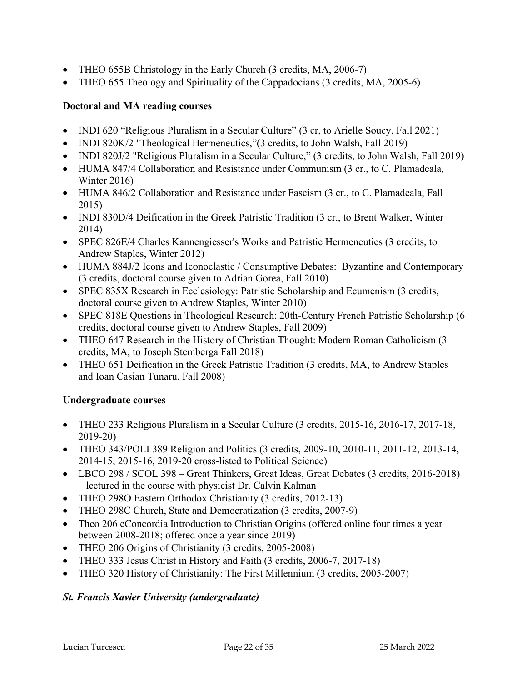- THEO 655B Christology in the Early Church (3 credits, MA, 2006-7)
- THEO 655 Theology and Spirituality of the Cappadocians (3 credits, MA, 2005-6)

### **Doctoral and MA reading courses**

- INDI 620 "Religious Pluralism in a Secular Culture" (3 cr, to Arielle Soucy, Fall 2021)
- INDI 820K/2 "Theological Hermeneutics," (3 credits, to John Walsh, Fall 2019)
- INDI 820J/2 "Religious Pluralism in a Secular Culture," (3 credits, to John Walsh, Fall 2019)
- HUMA 847/4 Collaboration and Resistance under Communism (3 cr., to C. Plamadeala, Winter 2016)
- HUMA 846/2 Collaboration and Resistance under Fascism (3 cr., to C. Plamadeala, Fall 2015)
- INDI 830D/4 Deification in the Greek Patristic Tradition (3 cr., to Brent Walker, Winter 2014)
- SPEC 826E/4 Charles Kannengiesser's Works and Patristic Hermeneutics (3 credits, to Andrew Staples, Winter 2012)
- HUMA 884J/2 Icons and Iconoclastic / Consumptive Debates: Byzantine and Contemporary (3 credits, doctoral course given to Adrian Gorea, Fall 2010)
- SPEC 835X Research in Ecclesiology: Patristic Scholarship and Ecumenism (3 credits, doctoral course given to Andrew Staples, Winter 2010)
- SPEC 818E Questions in Theological Research: 20th-Century French Patristic Scholarship (6 credits, doctoral course given to Andrew Staples, Fall 2009)
- THEO 647 Research in the History of Christian Thought: Modern Roman Catholicism (3) credits, MA, to Joseph Stemberga Fall 2018)
- THEO 651 Deification in the Greek Patristic Tradition (3 credits, MA, to Andrew Staples and Ioan Casian Tunaru, Fall 2008)

### **Undergraduate courses**

- THEO 233 Religious Pluralism in a Secular Culture (3 credits, 2015-16, 2016-17, 2017-18, 2019-20)
- THEO 343/POLI 389 Religion and Politics (3 credits, 2009-10, 2010-11, 2011-12, 2013-14, 2014-15, 2015-16, 2019-20 cross-listed to Political Science)
- LBCO 298 / SCOL 398 Great Thinkers, Great Ideas, Great Debates (3 credits, 2016-2018) – lectured in the course with physicist Dr. Calvin Kalman
- THEO 2980 Eastern Orthodox Christianity (3 credits, 2012-13)
- THEO 298C Church, State and Democratization (3 credits, 2007-9)
- Theo 206 eConcordia Introduction to Christian Origins (offered online four times a year between 2008-2018; offered once a year since 2019)
- THEO 206 Origins of Christianity (3 credits, 2005-2008)
- THEO 333 Jesus Christ in History and Faith (3 credits, 2006-7, 2017-18)
- THEO 320 History of Christianity: The First Millennium (3 credits, 2005-2007)

### *St. Francis Xavier University (undergraduate)*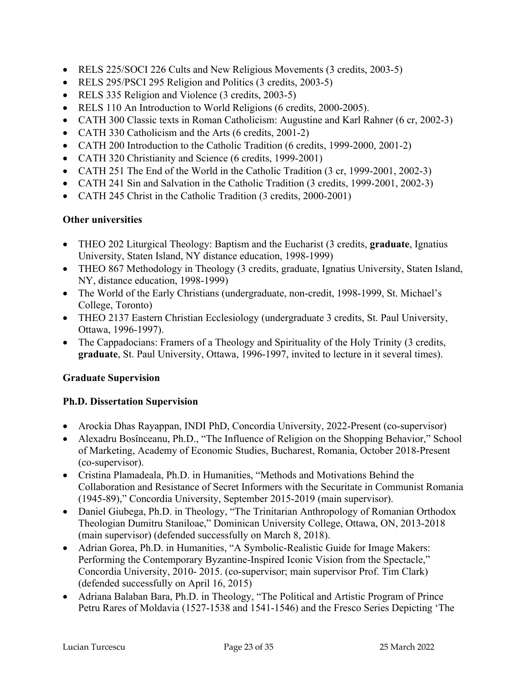- RELS 225/SOCI 226 Cults and New Religious Movements (3 credits, 2003-5)
- RELS 295/PSCI 295 Religion and Politics (3 credits, 2003-5)
- RELS 335 Religion and Violence (3 credits, 2003-5)
- RELS 110 An Introduction to World Religions (6 credits, 2000-2005).
- CATH 300 Classic texts in Roman Catholicism: Augustine and Karl Rahner (6 cr, 2002-3)
- CATH 330 Catholicism and the Arts (6 credits, 2001-2)
- CATH 200 Introduction to the Catholic Tradition (6 credits, 1999-2000, 2001-2)
- CATH 320 Christianity and Science (6 credits, 1999-2001)
- CATH 251 The End of the World in the Catholic Tradition (3 cr, 1999-2001, 2002-3)
- CATH 241 Sin and Salvation in the Catholic Tradition (3 credits, 1999-2001, 2002-3)
- CATH 245 Christ in the Catholic Tradition (3 credits, 2000-2001)

# **Other universities**

- THEO 202 Liturgical Theology: Baptism and the Eucharist (3 credits, **graduate**, Ignatius University, Staten Island, NY distance education, 1998-1999)
- THEO 867 Methodology in Theology (3 credits, graduate, Ignatius University, Staten Island, NY, distance education, 1998-1999)
- The World of the Early Christians (undergraduate, non-credit, 1998-1999, St. Michael's College, Toronto)
- THEO 2137 Eastern Christian Ecclesiology (undergraduate 3 credits, St. Paul University, Ottawa, 1996-1997).
- The Cappadocians: Framers of a Theology and Spirituality of the Holy Trinity (3 credits, **graduate**, St. Paul University, Ottawa, 1996-1997, invited to lecture in it several times).

# **Graduate Supervision**

# **Ph.D. Dissertation Supervision**

- Arockia Dhas Rayappan, INDI PhD, Concordia University, 2022-Present (co-supervisor)
- Alexadru Bosînceanu, Ph.D., "The Influence of Religion on the Shopping Behavior," School of Marketing, Academy of Economic Studies, Bucharest, Romania, October 2018-Present (co-supervisor).
- Cristina Plamadeala, Ph.D. in Humanities, "Methods and Motivations Behind the Collaboration and Resistance of Secret Informers with the Securitate in Communist Romania (1945-89)," Concordia University, September 2015-2019 (main supervisor).
- Daniel Giubega, Ph.D. in Theology, "The Trinitarian Anthropology of Romanian Orthodox Theologian Dumitru Staniloae," Dominican University College, Ottawa, ON, 2013-2018 (main supervisor) (defended successfully on March 8, 2018).
- Adrian Gorea, Ph.D. in Humanities, "A Symbolic-Realistic Guide for Image Makers: Performing the Contemporary Byzantine-Inspired Iconic Vision from the Spectacle," Concordia University, 2010- 2015. (co-supervisor; main supervisor Prof. Tim Clark) (defended successfully on April 16, 2015)
- Adriana Balaban Bara, Ph.D. in Theology, "The Political and Artistic Program of Prince Petru Rares of Moldavia (1527-1538 and 1541-1546) and the Fresco Series Depicting 'The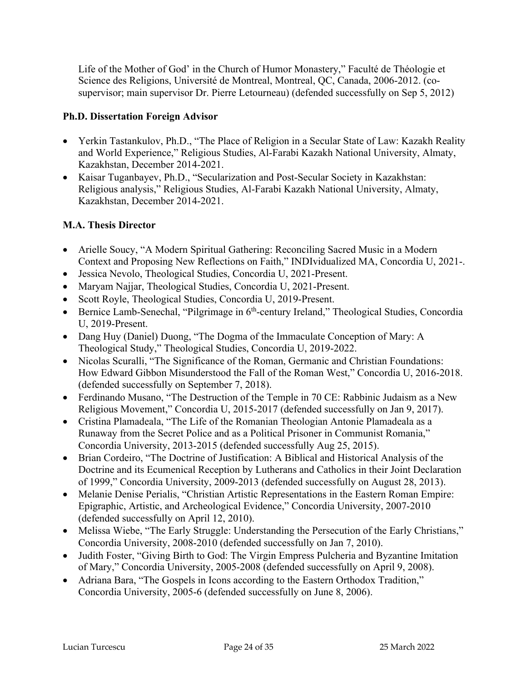Life of the Mother of God' in the Church of Humor Monastery," Faculté de Théologie et Science des Religions, Université de Montreal, Montreal, QC, Canada, 2006-2012. (cosupervisor; main supervisor Dr. Pierre Letourneau) (defended successfully on Sep 5, 2012)

### **Ph.D. Dissertation Foreign Advisor**

- Yerkin Tastankulov, Ph.D., "The Place of Religion in a Secular State of Law: Kazakh Reality and World Experience," Religious Studies, Al-Farabi Kazakh National University, Almaty, Kazakhstan, December 2014-2021.
- Kaisar Tuganbayev, Ph.D., "Secularization and Post-Secular Society in Kazakhstan: Religious analysis," Religious Studies, Al-Farabi Kazakh National University, Almaty, Kazakhstan, December 2014-2021.

## **M.A. Thesis Director**

- Arielle Soucy, "A Modern Spiritual Gathering: Reconciling Sacred Music in a Modern Context and Proposing New Reflections on Faith," INDIvidualized MA, Concordia U, 2021-.
- Jessica Nevolo, Theological Studies, Concordia U, 2021-Present.
- Maryam Najjar, Theological Studies, Concordia U, 2021-Present.
- Scott Royle, Theological Studies, Concordia U, 2019-Present.
- Bernice Lamb-Senechal, "Pilgrimage in 6<sup>th</sup>-century Ireland," Theological Studies, Concordia U, 2019-Present.
- Dang Huy (Daniel) Duong, "The Dogma of the Immaculate Conception of Mary: A Theological Study," Theological Studies, Concordia U, 2019-2022.
- Nicolas Scuralli, "The Significance of the Roman, Germanic and Christian Foundations: How Edward Gibbon Misunderstood the Fall of the Roman West," Concordia U, 2016-2018. (defended successfully on September 7, 2018).
- Ferdinando Musano, "The Destruction of the Temple in 70 CE: Rabbinic Judaism as a New Religious Movement," Concordia U, 2015-2017 (defended successfully on Jan 9, 2017).
- Cristina Plamadeala, "The Life of the Romanian Theologian Antonie Plamadeala as a Runaway from the Secret Police and as a Political Prisoner in Communist Romania," Concordia University, 2013-2015 (defended successfully Aug 25, 2015).
- Brian Cordeiro, "The Doctrine of Justification: A Biblical and Historical Analysis of the Doctrine and its Ecumenical Reception by Lutherans and Catholics in their Joint Declaration of 1999," Concordia University, 2009-2013 (defended successfully on August 28, 2013).
- Melanie Denise Perialis, "Christian Artistic Representations in the Eastern Roman Empire: Epigraphic, Artistic, and Archeological Evidence," Concordia University, 2007-2010 (defended successfully on April 12, 2010).
- Melissa Wiebe, "The Early Struggle: Understanding the Persecution of the Early Christians," Concordia University, 2008-2010 (defended successfully on Jan 7, 2010).
- Judith Foster, "Giving Birth to God: The Virgin Empress Pulcheria and Byzantine Imitation of Mary," Concordia University, 2005-2008 (defended successfully on April 9, 2008).
- Adriana Bara, "The Gospels in Icons according to the Eastern Orthodox Tradition," Concordia University, 2005-6 (defended successfully on June 8, 2006).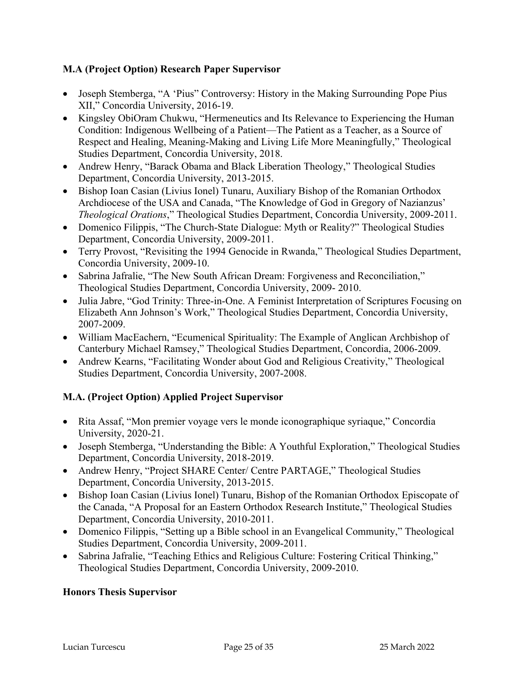## **M.A (Project Option) Research Paper Supervisor**

- Joseph Stemberga, "A 'Pius" Controversy: History in the Making Surrounding Pope Pius XII," Concordia University, 2016-19.
- Kingsley ObiOram Chukwu, "Hermeneutics and Its Relevance to Experiencing the Human Condition: Indigenous Wellbeing of a Patient—The Patient as a Teacher, as a Source of Respect and Healing, Meaning-Making and Living Life More Meaningfully," Theological Studies Department, Concordia University, 2018.
- Andrew Henry, "Barack Obama and Black Liberation Theology," Theological Studies Department, Concordia University, 2013-2015.
- Bishop Ioan Casian (Livius Ionel) Tunaru, Auxiliary Bishop of the Romanian Orthodox Archdiocese of the USA and Canada, "The Knowledge of God in Gregory of Nazianzus' *Theological Orations*," Theological Studies Department, Concordia University, 2009-2011.
- Domenico Filippis, "The Church-State Dialogue: Myth or Reality?" Theological Studies Department, Concordia University, 2009-2011.
- Terry Provost, "Revisiting the 1994 Genocide in Rwanda," Theological Studies Department, Concordia University, 2009-10.
- Sabrina Jafralie, "The New South African Dream: Forgiveness and Reconciliation," Theological Studies Department, Concordia University, 2009- 2010.
- Julia Jabre, "God Trinity: Three-in-One. A Feminist Interpretation of Scriptures Focusing on Elizabeth Ann Johnson's Work," Theological Studies Department, Concordia University, 2007-2009.
- William MacEachern, "Ecumenical Spirituality: The Example of Anglican Archbishop of Canterbury Michael Ramsey," Theological Studies Department, Concordia, 2006-2009.
- Andrew Kearns, "Facilitating Wonder about God and Religious Creativity," Theological Studies Department, Concordia University, 2007-2008.

# **M.A. (Project Option) Applied Project Supervisor**

- Rita Assaf, "Mon premier voyage vers le monde iconographique syriaque," Concordia University, 2020-21.
- Joseph Stemberga, "Understanding the Bible: A Youthful Exploration," Theological Studies Department, Concordia University, 2018-2019.
- Andrew Henry, "Project SHARE Center/ Centre PARTAGE," Theological Studies Department, Concordia University, 2013-2015.
- Bishop Ioan Casian (Livius Ionel) Tunaru, Bishop of the Romanian Orthodox Episcopate of the Canada, "A Proposal for an Eastern Orthodox Research Institute," Theological Studies Department, Concordia University, 2010-2011.
- Domenico Filippis, "Setting up a Bible school in an Evangelical Community," Theological Studies Department, Concordia University, 2009-2011.
- Sabrina Jafralie, "Teaching Ethics and Religious Culture: Fostering Critical Thinking," Theological Studies Department, Concordia University, 2009-2010.

# **Honors Thesis Supervisor**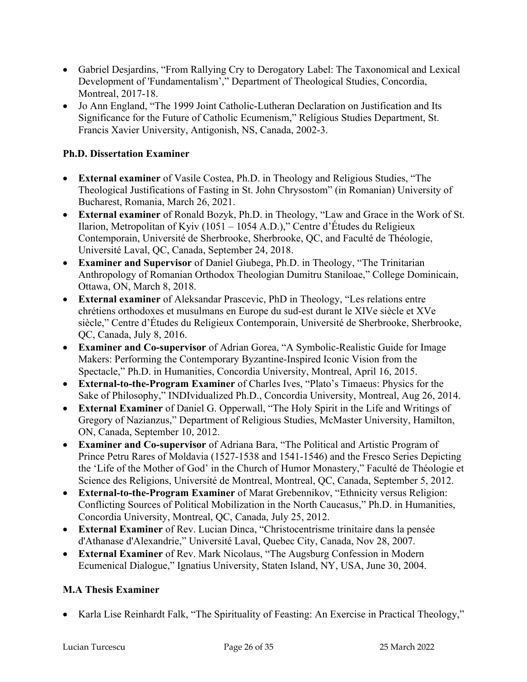- Gabriel Desjardins, "From Rallying Cry to Derogatory Label: The Taxonomical and Lexical Development of 'Fundamentalism'," Department of Theological Studies, Concordia, Montreal, 2017-18.
- Jo Ann England, "The 1999 Joint Catholic-Lutheran Declaration on Justification and Its Significance for the Future of Catholic Ecumenism," Religious Studies Department, St. Francis Xavier University, Antigonish, NS, Canada, 2002-3.

## **Ph.D. Dissertation Examiner**

- **External examiner** of Vasile Costea, Ph.D. in Theology and Religious Studies, "The Theological Justifications of Fasting in St. John Chrysostom" (in Romanian) University of Bucharest, Romania, March 26, 2021.
- **External examiner** of Ronald Bozyk, Ph.D. in Theology, "Law and Grace in the Work of St. Ilarion, Metropolitan of Kyiv (1051 – 1054 A.D.)," Centre d'Études du Religieux Contemporain, Université de Sherbrooke, Sherbrooke, QC, and Faculté de Théologie, Université Laval, QC, Canada, September 24, 2018.
- **Examiner and Supervisor** of Daniel Giubega, Ph.D. in Theology, "The Trinitarian Anthropology of Romanian Orthodox Theologian Dumitru Staniloae," College Dominicain, Ottawa, ON, March 8, 2018.
- **External examiner** of Aleksandar Prascevic, PhD in Theology, "Les relations entre chrétiens orthodoxes et musulmans en Europe du sud-est durant le XIVe siècle et XVe siècle," Centre d'Études du Religieux Contemporain, Université de Sherbrooke, Sherbrooke, QC, Canada, July 8, 2016.
- **Examiner and Co-supervisor** of Adrian Gorea, "A Symbolic-Realistic Guide for Image Makers: Performing the Contemporary Byzantine-Inspired Iconic Vision from the Spectacle," Ph.D. in Humanities, Concordia University, Montreal, April 16, 2015.
- **External-to-the-Program Examiner** of Charles Ives, "Plato's Timaeus: Physics for the Sake of Philosophy," INDIvidualized Ph.D., Concordia University, Montreal, Aug 26, 2014.
- **External Examiner** of Daniel G. Opperwall, "The Holy Spirit in the Life and Writings of Gregory of Nazianzus," Department of Religious Studies, McMaster University, Hamilton, ON, Canada, September 10, 2012.
- **Examiner and Co-supervisor** of Adriana Bara, "The Political and Artistic Program of Prince Petru Rares of Moldavia (1527-1538 and 1541-1546) and the Fresco Series Depicting the 'Life of the Mother of God' in the Church of Humor Monastery," Faculté de Théologie et Science des Religions, Université de Montreal, Montreal, QC, Canada, September 5, 2012.
- **External-to-the-Program Examiner** of Marat Grebennikov, "Ethnicity versus Religion: Conflicting Sources of Political Mobilization in the North Caucasus," Ph.D. in Humanities, Concordia University, Montreal, QC, Canada, July 25, 2012.
- **External Examiner** of Rev. Lucian Dinca, "Christocentrisme trinitaire dans la pensée d'Athanase d'Alexandrie," Université Laval, Quebec City, Canada, Nov 28, 2007.
- **External Examiner** of Rev. Mark Nicolaus, "The Augsburg Confession in Modern Ecumenical Dialogue," Ignatius University, Staten Island, NY, USA, June 30, 2004.

# **M.A Thesis Examiner**

• Karla Lise Reinhardt Falk, "The Spirituality of Feasting: An Exercise in Practical Theology,"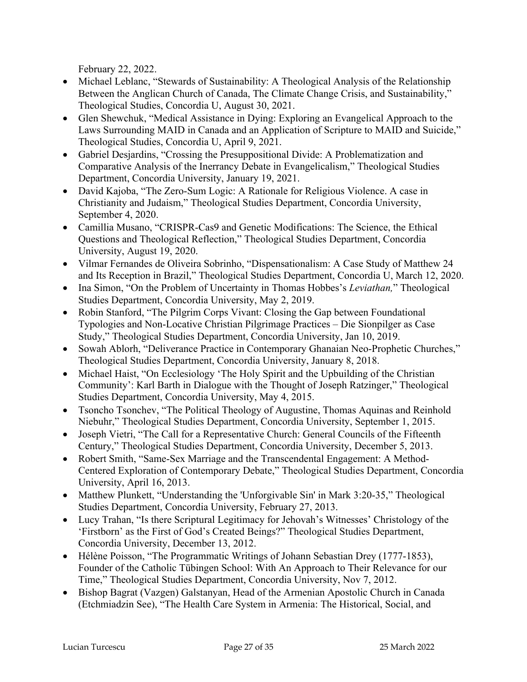February 22, 2022.

- Michael Leblanc, "Stewards of Sustainability: A Theological Analysis of the Relationship Between the Anglican Church of Canada, The Climate Change Crisis, and Sustainability," Theological Studies, Concordia U, August 30, 2021.
- Glen Shewchuk, "Medical Assistance in Dying: Exploring an Evangelical Approach to the Laws Surrounding MAID in Canada and an Application of Scripture to MAID and Suicide," Theological Studies, Concordia U, April 9, 2021.
- Gabriel Desjardins, "Crossing the Presuppositional Divide: A Problematization and Comparative Analysis of the Inerrancy Debate in Evangelicalism," Theological Studies Department, Concordia University, January 19, 2021.
- David Kajoba, "The Zero-Sum Logic: A Rationale for Religious Violence. A case in Christianity and Judaism," Theological Studies Department, Concordia University, September 4, 2020.
- Camillia Musano, "CRISPR-Cas9 and Genetic Modifications: The Science, the Ethical Questions and Theological Reflection," Theological Studies Department, Concordia University, August 19, 2020.
- Vilmar Fernandes de Oliveira Sobrinho, "Dispensationalism: A Case Study of Matthew 24 and Its Reception in Brazil," Theological Studies Department, Concordia U, March 12, 2020.
- Ina Simon, "On the Problem of Uncertainty in Thomas Hobbes's *Leviathan,*" Theological Studies Department, Concordia University, May 2, 2019.
- Robin Stanford, "The Pilgrim Corps Vivant: Closing the Gap between Foundational Typologies and Non-Locative Christian Pilgrimage Practices – Die Sionpilger as Case Study," Theological Studies Department, Concordia University, Jan 10, 2019.
- Sowah Ablorh, "Deliverance Practice in Contemporary Ghanaian Neo-Prophetic Churches," Theological Studies Department, Concordia University, January 8, 2018.
- Michael Haist, "On Ecclesiology 'The Holy Spirit and the Upbuilding of the Christian Community': Karl Barth in Dialogue with the Thought of Joseph Ratzinger," Theological Studies Department, Concordia University, May 4, 2015.
- Tsoncho Tsonchev, "The Political Theology of Augustine, Thomas Aquinas and Reinhold Niebuhr," Theological Studies Department, Concordia University, September 1, 2015.
- Joseph Vietri, "The Call for a Representative Church: General Councils of the Fifteenth Century," Theological Studies Department, Concordia University, December 5, 2013.
- Robert Smith, "Same-Sex Marriage and the Transcendental Engagement: A Method-Centered Exploration of Contemporary Debate," Theological Studies Department, Concordia University, April 16, 2013.
- Matthew Plunkett, "Understanding the 'Unforgivable Sin' in Mark 3:20-35," Theological Studies Department, Concordia University, February 27, 2013.
- Lucy Trahan, "Is there Scriptural Legitimacy for Jehovah's Witnesses' Christology of the 'Firstborn' as the First of God's Created Beings?" Theological Studies Department, Concordia University, December 13, 2012.
- Hélène Poisson, "The Programmatic Writings of Johann Sebastian Drey (1777-1853), Founder of the Catholic Tübingen School: With An Approach to Their Relevance for our Time," Theological Studies Department, Concordia University, Nov 7, 2012.
- Bishop Bagrat (Vazgen) Galstanyan, Head of the Armenian Apostolic Church in Canada (Etchmiadzin See), "The Health Care System in Armenia: The Historical, Social, and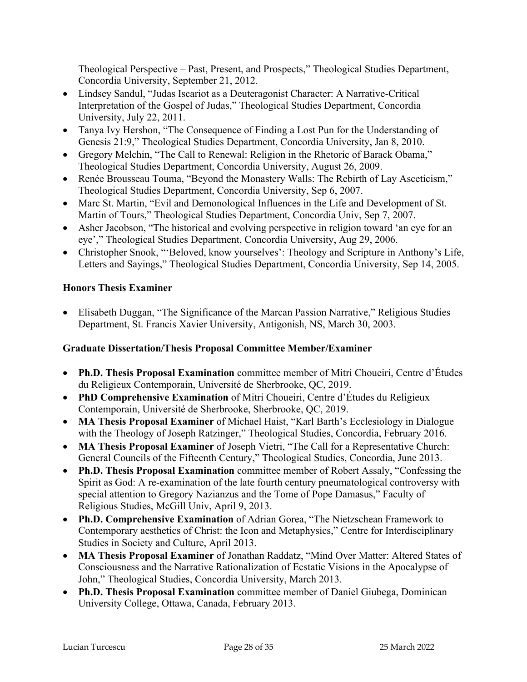Theological Perspective – Past, Present, and Prospects," Theological Studies Department, Concordia University, September 21, 2012.

- Lindsey Sandul, "Judas Iscariot as a Deuteragonist Character: A Narrative-Critical Interpretation of the Gospel of Judas," Theological Studies Department, Concordia University, July 22, 2011.
- Tanya Ivy Hershon, "The Consequence of Finding a Lost Pun for the Understanding of Genesis 21:9," Theological Studies Department, Concordia University, Jan 8, 2010.
- Gregory Melchin, "The Call to Renewal: Religion in the Rhetoric of Barack Obama," Theological Studies Department, Concordia University, August 26, 2009.
- Renée Brousseau Touma, "Beyond the Monastery Walls: The Rebirth of Lay Asceticism," Theological Studies Department, Concordia University, Sep 6, 2007.
- Marc St. Martin, "Evil and Demonological Influences in the Life and Development of St. Martin of Tours," Theological Studies Department, Concordia Univ, Sep 7, 2007.
- Asher Jacobson, "The historical and evolving perspective in religion toward 'an eye for an eye'," Theological Studies Department, Concordia University, Aug 29, 2006.
- Christopher Snook, "'Beloved, know yourselves': Theology and Scripture in Anthony's Life, Letters and Sayings," Theological Studies Department, Concordia University, Sep 14, 2005.

## **Honors Thesis Examiner**

• Elisabeth Duggan, "The Significance of the Marcan Passion Narrative," Religious Studies Department, St. Francis Xavier University, Antigonish, NS, March 30, 2003.

### **Graduate Dissertation/Thesis Proposal Committee Member/Examiner**

- **Ph.D. Thesis Proposal Examination** committee member of Mitri Choueiri, Centre d'Études du Religieux Contemporain, Université de Sherbrooke, QC, 2019.
- **PhD Comprehensive Examination** of Mitri Choueiri, Centre d'Études du Religieux Contemporain, Université de Sherbrooke, Sherbrooke, QC, 2019.
- **MA Thesis Proposal Examiner** of Michael Haist, "Karl Barth's Ecclesiology in Dialogue with the Theology of Joseph Ratzinger," Theological Studies, Concordia, February 2016.
- **MA Thesis Proposal Examiner** of Joseph Vietri, "The Call for a Representative Church: General Councils of the Fifteenth Century," Theological Studies, Concordia, June 2013.
- **Ph.D. Thesis Proposal Examination** committee member of Robert Assaly, "Confessing the Spirit as God: A re-examination of the late fourth century pneumatological controversy with special attention to Gregory Nazianzus and the Tome of Pope Damasus," Faculty of Religious Studies, McGill Univ, April 9, 2013.
- **Ph.D. Comprehensive Examination** of Adrian Gorea, "The Nietzschean Framework to Contemporary aesthetics of Christ: the Icon and Metaphysics," Centre for Interdisciplinary Studies in Society and Culture, April 2013.
- **MA Thesis Proposal Examiner** of Jonathan Raddatz, "Mind Over Matter: Altered States of Consciousness and the Narrative Rationalization of Ecstatic Visions in the Apocalypse of John," Theological Studies, Concordia University, March 2013.
- **Ph.D. Thesis Proposal Examination** committee member of Daniel Giubega, Dominican University College, Ottawa, Canada, February 2013.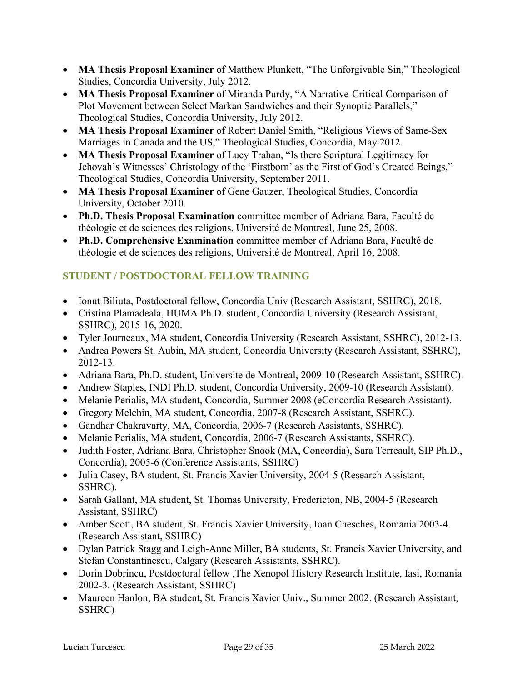- **MA Thesis Proposal Examiner** of Matthew Plunkett, "The Unforgivable Sin," Theological Studies, Concordia University, July 2012.
- **MA Thesis Proposal Examiner** of Miranda Purdy, "A Narrative-Critical Comparison of Plot Movement between Select Markan Sandwiches and their Synoptic Parallels," Theological Studies, Concordia University, July 2012.
- **MA Thesis Proposal Examiner** of Robert Daniel Smith, "Religious Views of Same-Sex Marriages in Canada and the US," Theological Studies, Concordia, May 2012.
- **MA Thesis Proposal Examiner** of Lucy Trahan, "Is there Scriptural Legitimacy for Jehovah's Witnesses' Christology of the 'Firstborn' as the First of God's Created Beings," Theological Studies, Concordia University, September 2011.
- **MA Thesis Proposal Examiner** of Gene Gauzer, Theological Studies, Concordia University, October 2010.
- **Ph.D. Thesis Proposal Examination** committee member of Adriana Bara, Faculté de théologie et de sciences des religions, Université de Montreal, June 25, 2008.
- **Ph.D. Comprehensive Examination** committee member of Adriana Bara, Faculté de théologie et de sciences des religions, Université de Montreal, April 16, 2008.

# **STUDENT / POSTDOCTORAL FELLOW TRAINING**

- Ionut Biliuta, Postdoctoral fellow, Concordia Univ (Research Assistant, SSHRC), 2018.
- Cristina Plamadeala, HUMA Ph.D. student, Concordia University (Research Assistant, SSHRC), 2015-16, 2020.
- Tyler Journeaux, MA student, Concordia University (Research Assistant, SSHRC), 2012-13.
- Andrea Powers St. Aubin, MA student, Concordia University (Research Assistant, SSHRC), 2012-13.
- Adriana Bara, Ph.D. student, Universite de Montreal, 2009-10 (Research Assistant, SSHRC).
- Andrew Staples, INDI Ph.D. student, Concordia University, 2009-10 (Research Assistant).
- Melanie Perialis, MA student, Concordia, Summer 2008 (eConcordia Research Assistant).
- Gregory Melchin, MA student, Concordia, 2007-8 (Research Assistant, SSHRC).
- Gandhar Chakravarty, MA, Concordia, 2006-7 (Research Assistants, SSHRC).
- Melanie Perialis, MA student, Concordia, 2006-7 (Research Assistants, SSHRC).
- Judith Foster, Adriana Bara, Christopher Snook (MA, Concordia), Sara Terreault, SIP Ph.D., Concordia), 2005-6 (Conference Assistants, SSHRC)
- Julia Casey, BA student, St. Francis Xavier University, 2004-5 (Research Assistant, SSHRC).
- Sarah Gallant, MA student, St. Thomas University, Fredericton, NB, 2004-5 (Research Assistant, SSHRC)
- Amber Scott, BA student, St. Francis Xavier University, Ioan Chesches, Romania 2003-4. (Research Assistant, SSHRC)
- Dylan Patrick Stagg and Leigh-Anne Miller, BA students, St. Francis Xavier University, and Stefan Constantinescu, Calgary (Research Assistants, SSHRC).
- Dorin Dobrincu, Postdoctoral fellow ,The Xenopol History Research Institute, Iasi, Romania 2002-3. (Research Assistant, SSHRC)
- Maureen Hanlon, BA student, St. Francis Xavier Univ., Summer 2002. (Research Assistant, SSHRC)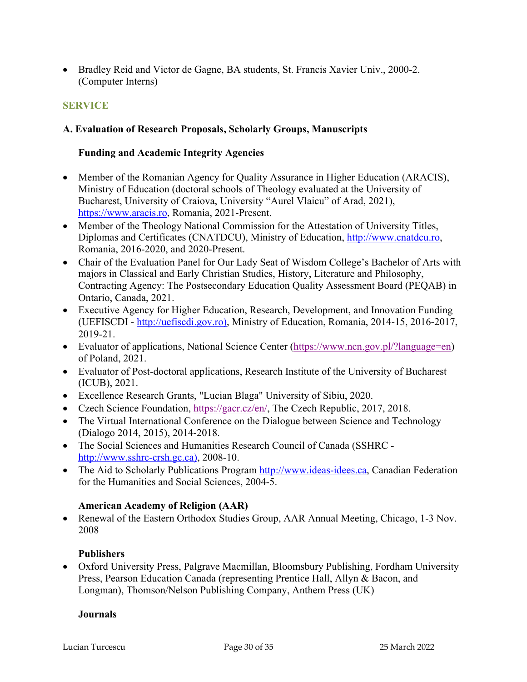• Bradley Reid and Victor de Gagne, BA students, St. Francis Xavier Univ., 2000-2. (Computer Interns)

## **SERVICE**

#### **A. Evaluation of Research Proposals, Scholarly Groups, Manuscripts**

#### **Funding and Academic Integrity Agencies**

- Member of the Romanian Agency for Quality Assurance in Higher Education (ARACIS), Ministry of Education (doctoral schools of Theology evaluated at the University of Bucharest, University of Craiova, University "Aurel Vlaicu" of Arad, 2021), https://www.aracis.ro, Romania, 2021-Present.
- Member of the Theology National Commission for the Attestation of University Titles, Diplomas and Certificates (CNATDCU), Ministry of Education, http://www.cnatdcu.ro, Romania, 2016-2020, and 2020-Present.
- Chair of the Evaluation Panel for Our Lady Seat of Wisdom College's Bachelor of Arts with majors in Classical and Early Christian Studies, History, Literature and Philosophy, Contracting Agency: The Postsecondary Education Quality Assessment Board (PEQAB) in Ontario, Canada, 2021.
- Executive Agency for Higher Education, Research, Development, and Innovation Funding (UEFISCDI - http://uefiscdi.gov.ro), Ministry of Education, Romania, 2014-15, 2016-2017, 2019-21.
- Evaluator of applications, National Science Center (https://www.ncn.gov.pl/?language=en) of Poland, 2021.
- Evaluator of Post-doctoral applications, Research Institute of the University of Bucharest (ICUB), 2021.
- Excellence Research Grants, "Lucian Blaga" University of Sibiu, 2020.
- Czech Science Foundation, https://gacr.cz/en/, The Czech Republic, 2017, 2018.
- The Virtual International Conference on the Dialogue between Science and Technology (Dialogo 2014, 2015), 2014-2018.
- The Social Sciences and Humanities Research Council of Canada (SSHRC http://www.sshrc-crsh.gc.ca), 2008-10.
- The Aid to Scholarly Publications Program http://www.ideas-idees.ca, Canadian Federation for the Humanities and Social Sciences, 2004-5.

#### **American Academy of Religion (AAR)**

• Renewal of the Eastern Orthodox Studies Group, AAR Annual Meeting, Chicago, 1-3 Nov. 2008

### **Publishers**

• Oxford University Press, Palgrave Macmillan, Bloomsbury Publishing, Fordham University Press, Pearson Education Canada (representing Prentice Hall, Allyn & Bacon, and Longman), Thomson/Nelson Publishing Company, Anthem Press (UK)

#### **Journals**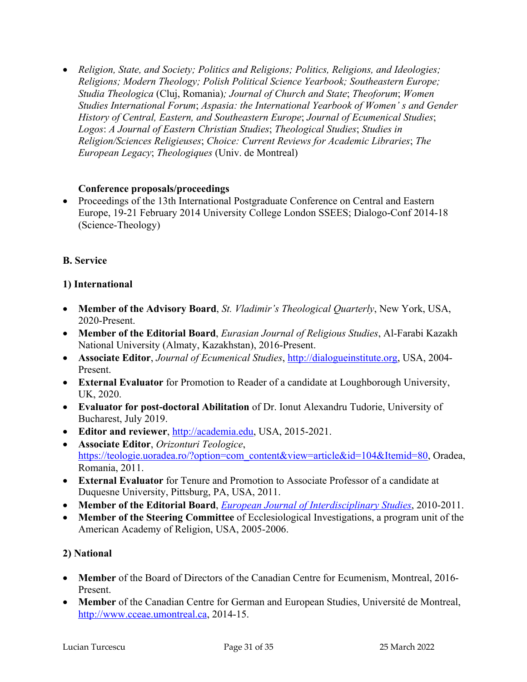• *Religion, State, and Society; Politics and Religions; Politics, Religions, and Ideologies; Religions; Modern Theology; Polish Political Science Yearbook; Southeastern Europe; Studia Theologica* (Cluj, Romania)*; Journal of Church and State*; *Theoforum*; *Women Studies International Forum*; *Aspasia: the International Yearbook of Women' s and Gender History of Central, Eastern, and Southeastern Europe*; *Journal of Ecumenical Studies*; *Logos*: *A Journal of Eastern Christian Studies*; *Theological Studies*; *Studies in Religion/Sciences Religieuses*; *Choice: Current Reviews for Academic Libraries*; *The European Legacy*; *Theologiques* (Univ. de Montreal)

#### **Conference proposals/proceedings**

• Proceedings of the 13th International Postgraduate Conference on Central and Eastern Europe, 19-21 February 2014 University College London SSEES; Dialogo-Conf 2014-18 (Science-Theology)

## **B. Service**

### **1) International**

- **Member of the Advisory Board**, *St. Vladimir's Theological Quarterly*, New York, USA, 2020-Present.
- **Member of the Editorial Board**, *Eurasian Journal of Religious Studies*, Al-Farabi Kazakh National University (Almaty, Kazakhstan), 2016-Present.
- **Associate Editor**, *Journal of Ecumenical Studies*, http://dialogueinstitute.org, USA, 2004- Present.
- **External Evaluator** for Promotion to Reader of a candidate at Loughborough University, UK, 2020.
- **Evaluator for post-doctoral Abilitation** of Dr. Ionut Alexandru Tudorie, University of Bucharest, July 2019.
- **Editor and reviewer**, http://academia.edu, USA, 2015-2021.
- **Associate Editor**, *Orizonturi Teologice*, https://teologie.uoradea.ro/?option=com\_content&view=article&id=104&Itemid=80, Oradea, Romania, 2011.
- **External Evaluator** for Tenure and Promotion to Associate Professor of a candidate at Duquesne University, Pittsburg, PA, USA, 2011.
- **Member of the Editorial Board**, *European Journal of Interdisciplinary Studies*, 2010-2011.
- **Member of the Steering Committee** of Ecclesiological Investigations, a program unit of the American Academy of Religion, USA, 2005-2006.

### **2) National**

- **Member** of the Board of Directors of the Canadian Centre for Ecumenism, Montreal, 2016- Present.
- **Member** of the Canadian Centre for German and European Studies, Université de Montreal, http://www.cceae.umontreal.ca, 2014-15.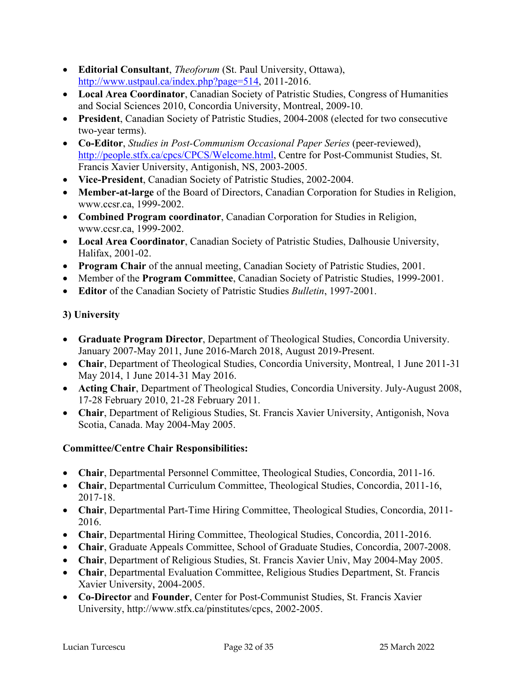- **Editorial Consultant**, *Theoforum* (St. Paul University, Ottawa), http://www.ustpaul.ca/index.php?page=514, 2011-2016.
- **Local Area Coordinator**, Canadian Society of Patristic Studies, Congress of Humanities and Social Sciences 2010, Concordia University, Montreal, 2009-10.
- **President**, Canadian Society of Patristic Studies, 2004-2008 (elected for two consecutive two-year terms).
- **Co-Editor**, *Studies in Post-Communism Occasional Paper Series* (peer-reviewed), http://people.stfx.ca/cpcs/CPCS/Welcome.html, Centre for Post-Communist Studies, St. Francis Xavier University, Antigonish, NS, 2003-2005.
- **Vice-President**, Canadian Society of Patristic Studies, 2002-2004.
- **Member-at-large** of the Board of Directors, Canadian Corporation for Studies in Religion, www.ccsr.ca, 1999-2002.
- **Combined Program coordinator**, Canadian Corporation for Studies in Religion, www.ccsr.ca, 1999-2002.
- **Local Area Coordinator**, Canadian Society of Patristic Studies, Dalhousie University, Halifax, 2001-02.
- **Program Chair** of the annual meeting, Canadian Society of Patristic Studies, 2001.
- Member of the **Program Committee**, Canadian Society of Patristic Studies, 1999-2001.
- **Editor** of the Canadian Society of Patristic Studies *Bulletin*, 1997-2001.

## **3) University**

- **Graduate Program Director**, Department of Theological Studies, Concordia University. January 2007-May 2011, June 2016-March 2018, August 2019-Present.
- **Chair**, Department of Theological Studies, Concordia University, Montreal, 1 June 2011-31 May 2014, 1 June 2014-31 May 2016.
- **Acting Chair**, Department of Theological Studies, Concordia University. July-August 2008, 17-28 February 2010, 21-28 February 2011.
- **Chair**, Department of Religious Studies, St. Francis Xavier University, Antigonish, Nova Scotia, Canada. May 2004-May 2005.

### **Committee/Centre Chair Responsibilities:**

- **Chair**, Departmental Personnel Committee, Theological Studies, Concordia, 2011-16.
- **Chair**, Departmental Curriculum Committee, Theological Studies, Concordia, 2011-16, 2017-18.
- **Chair**, Departmental Part-Time Hiring Committee, Theological Studies, Concordia, 2011- 2016.
- **Chair**, Departmental Hiring Committee, Theological Studies, Concordia, 2011-2016.
- **Chair**, Graduate Appeals Committee, School of Graduate Studies, Concordia, 2007-2008.
- **Chair**, Department of Religious Studies, St. Francis Xavier Univ, May 2004-May 2005.
- **Chair**, Departmental Evaluation Committee, Religious Studies Department, St. Francis Xavier University, 2004-2005.
- **Co-Director** and **Founder**, Center for Post-Communist Studies, St. Francis Xavier University, http://www.stfx.ca/pinstitutes/cpcs, 2002-2005.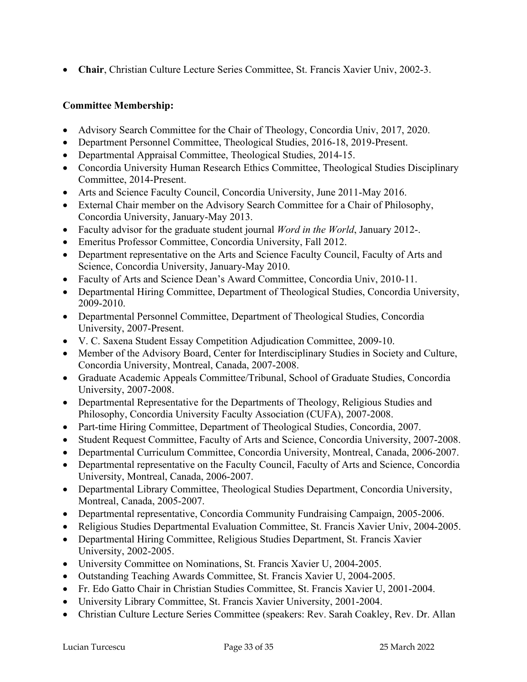• **Chair**, Christian Culture Lecture Series Committee, St. Francis Xavier Univ, 2002-3.

### **Committee Membership:**

- Advisory Search Committee for the Chair of Theology, Concordia Univ, 2017, 2020.
- Department Personnel Committee, Theological Studies, 2016-18, 2019-Present.
- Departmental Appraisal Committee, Theological Studies, 2014-15.
- Concordia University Human Research Ethics Committee, Theological Studies Disciplinary Committee, 2014-Present.
- Arts and Science Faculty Council, Concordia University, June 2011-May 2016.
- External Chair member on the Advisory Search Committee for a Chair of Philosophy, Concordia University, January-May 2013.
- Faculty advisor for the graduate student journal *Word in the World*, January 2012-.
- Emeritus Professor Committee, Concordia University, Fall 2012.
- Department representative on the Arts and Science Faculty Council, Faculty of Arts and Science, Concordia University, January-May 2010.
- Faculty of Arts and Science Dean's Award Committee, Concordia Univ, 2010-11.
- Departmental Hiring Committee, Department of Theological Studies, Concordia University, 2009-2010.
- Departmental Personnel Committee, Department of Theological Studies, Concordia University, 2007-Present.
- V. C. Saxena Student Essay Competition Adjudication Committee, 2009-10.
- Member of the Advisory Board, Center for Interdisciplinary Studies in Society and Culture, Concordia University, Montreal, Canada, 2007-2008.
- Graduate Academic Appeals Committee/Tribunal, School of Graduate Studies, Concordia University, 2007-2008.
- Departmental Representative for the Departments of Theology, Religious Studies and Philosophy, Concordia University Faculty Association (CUFA), 2007-2008.
- Part-time Hiring Committee, Department of Theological Studies, Concordia, 2007.
- Student Request Committee, Faculty of Arts and Science, Concordia University, 2007-2008.
- Departmental Curriculum Committee, Concordia University, Montreal, Canada, 2006-2007.
- Departmental representative on the Faculty Council, Faculty of Arts and Science, Concordia University, Montreal, Canada, 2006-2007.
- Departmental Library Committee, Theological Studies Department, Concordia University, Montreal, Canada, 2005-2007.
- Departmental representative, Concordia Community Fundraising Campaign, 2005-2006.
- Religious Studies Departmental Evaluation Committee, St. Francis Xavier Univ, 2004-2005.
- Departmental Hiring Committee, Religious Studies Department, St. Francis Xavier University, 2002-2005.
- University Committee on Nominations, St. Francis Xavier U, 2004-2005.
- Outstanding Teaching Awards Committee, St. Francis Xavier U, 2004-2005.
- Fr. Edo Gatto Chair in Christian Studies Committee, St. Francis Xavier U, 2001-2004.
- University Library Committee, St. Francis Xavier University, 2001-2004.
- Christian Culture Lecture Series Committee (speakers: Rev. Sarah Coakley, Rev. Dr. Allan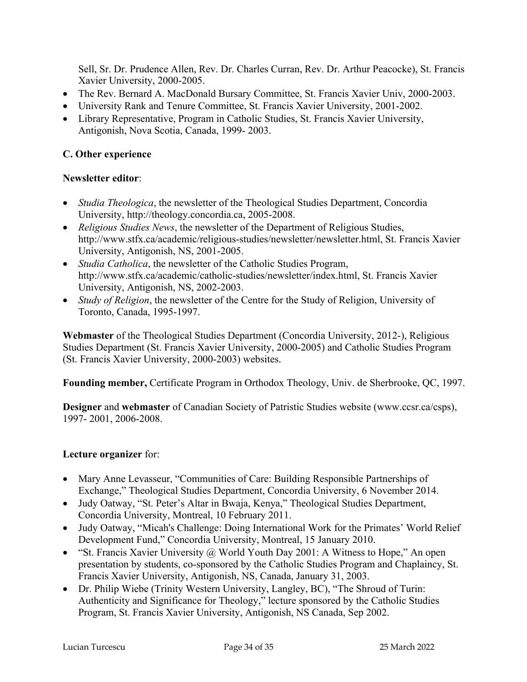Sell, Sr. Dr. Prudence Allen, Rev. Dr. Charles Curran, Rev. Dr. Arthur Peacocke), St. Francis Xavier University, 2000-2005.

- The Rev. Bernard A. MacDonald Bursary Committee, St. Francis Xavier Univ, 2000-2003.
- University Rank and Tenure Committee, St. Francis Xavier University, 2001-2002.
- Library Representative, Program in Catholic Studies, St. Francis Xavier University, Antigonish, Nova Scotia, Canada, 1999- 2003.

## **C. Other experience**

### **Newsletter editor**:

- *Studia Theologica*, the newsletter of the Theological Studies Department, Concordia University, http://theology.concordia.ca, 2005-2008.
- *Religious Studies News*, the newsletter of the Department of Religious Studies, http://www.stfx.ca/academic/religious-studies/newsletter/newsletter.html, St. Francis Xavier University, Antigonish, NS, 2001-2005.
- *Studia Catholica*, the newsletter of the Catholic Studies Program, http://www.stfx.ca/academic/catholic-studies/newsletter/index.html, St. Francis Xavier University, Antigonish, NS, 2002-2003.
- *Study of Religion*, the newsletter of the Centre for the Study of Religion, University of Toronto, Canada, 1995-1997.

**Webmaster** of the Theological Studies Department (Concordia University, 2012-), Religious Studies Department (St. Francis Xavier University, 2000-2005) and Catholic Studies Program (St. Francis Xavier University, 2000-2003) websites.

**Founding member,** Certificate Program in Orthodox Theology, Univ. de Sherbrooke, QC, 1997.

**Designer** and **webmaster** of Canadian Society of Patristic Studies website (www.ccsr.ca/csps), 1997- 2001, 2006-2008.

# **Lecture organizer** for:

- Mary Anne Levasseur, "Communities of Care: Building Responsible Partnerships of Exchange," Theological Studies Department, Concordia University, 6 November 2014.
- Judy Oatway, "St. Peter's Altar in Bwaja, Kenya," Theological Studies Department, Concordia University, Montreal, 10 February 2011.
- Judy Oatway, "Micah's Challenge: Doing International Work for the Primates' World Relief Development Fund," Concordia University, Montreal, 15 January 2010.
- "St. Francis Xavier University @ World Youth Day 2001: A Witness to Hope," An open presentation by students, co-sponsored by the Catholic Studies Program and Chaplaincy, St. Francis Xavier University, Antigonish, NS, Canada, January 31, 2003.
- Dr. Philip Wiebe (Trinity Western University, Langley, BC), "The Shroud of Turin: Authenticity and Significance for Theology," lecture sponsored by the Catholic Studies Program, St. Francis Xavier University, Antigonish, NS Canada, Sep 2002.